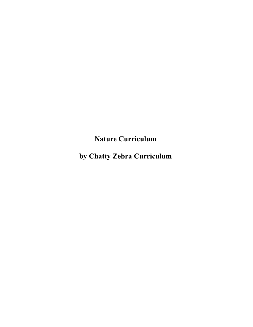**Nature Curriculum** 

**by Chatty Zebra Curriculum**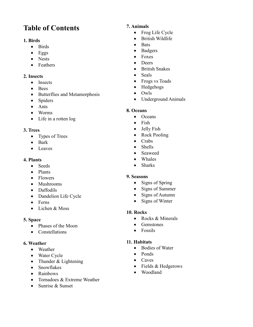# **Table of Contents**

#### **1. Birds**

- Birds
- $\bullet$  Eggs
- Nests
- Feathers

#### **2. Insects**

- Insects
- Bees
- Butterflies and Metamorphosis
- Spiders
- Ants
- Worms
- Life in a rotten log

#### **3. Trees**

- Types of Trees
- Bark
- Leaves

#### **4. Plants**

- Seeds
- Plants
- Flowers
- Mushrooms
- Daffodils
- Dandelion Life Cycle
- Ferns
- Lichen & Moss

## **5. Space**

- Phases of the Moon
- Constellations

#### **6. Weather**

- Weather
- Water Cycle
- Thunder & Lightening
- Snowflakes
- Rainbows
- Tornadoes & Extreme Weather
- Sunrise & Sunset

## **7. Animals**

- Frog Life Cycle
- British Wildlife
- $\bullet$  Bats
- Badgers
- Foxes
- Deers
- British Snakes
- Seals
- Frogs vs Toads
- Hedgehogs
- Owls
- Underground Animals

## **8. Oceans**

- Oceans
- Fish
- Jelly Fish
- Rock Pooling
- Crabs
- Shells
- Seaweed
- Whales
- Sharks

## **9. Seasons**

- Signs of Spring
- Signs of Summer
- Signs of Autumn
- Signs of Winter

#### **10. Rocks**

- Rocks & Minerals
- Gemstones
- Fossils

## **11. Habitats**

- Bodies of Water
- Ponds
- Caves
- Fields & Hedgerows
- Woodland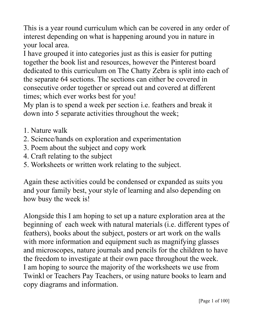This is a year round curriculum which can be covered in any order of interest depending on what is happening around you in nature in your local area.

I have grouped it into categories just as this is easier for putting together the book list and resources, however the Pinterest board dedicated to this curriculum on The Chatty Zebra is split into each of the separate 64 sections. The sections can either be covered in consecutive order together or spread out and covered at different times; which ever works best for you!

My plan is to spend a week per section i.e. feathers and break it down into 5 separate activities throughout the week;

- 1. Nature walk
- 2. Science/hands on exploration and experimentation
- 3. Poem about the subject and copy work
- 4. Craft relating to the subject
- 5. Worksheets or written work relating to the subject.

Again these activities could be condensed or expanded as suits you and your family best, your style of learning and also depending on how busy the week is!

Alongside this I am hoping to set up a nature exploration area at the beginning of each week with natural materials (i.e. different types of feathers), books about the subject, posters or art work on the walls with more information and equipment such as magnifying glasses and microscopes, nature journals and pencils for the children to have the freedom to investigate at their own pace throughout the week. I am hoping to source the majority of the worksheets we use from Twinkl or Teachers Pay Teachers, or using nature books to learn and copy diagrams and information.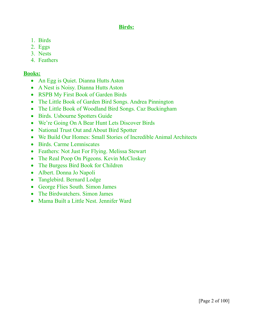## **Birds:**

- 1. Birds
- 2. Eggs
- 3. Nests
- 4. Feathers

## **Books:**

- An Egg is Quiet. Dianna Hutts Aston
- A Nest is Noisy. Dianna Hutts Aston
- RSPB My First Book of Garden Birds
- The Little Book of Garden Bird Songs. Andrea Pinnington
- The Little Book of Woodland Bird Songs. Caz Buckingham
- Birds. Usbourne Spotters Guide
- We're Going On A Bear Hunt Lets Discover Birds
- National Trust Out and About Bird Spotter
- We Build Our Homes: Small Stories of Incredible Animal Architects
- Birds. Carme Lemniscates
- Feathers: Not Just For Flying. Melissa Stewart
- The Real Poop On Pigeons. Kevin McCloskey
- The Burgess Bird Book for Children
- Albert. Donna Jo Napoli
- Tanglebird. Bernard Lodge
- George Flies South. Simon James
- The Birdwatchers. Simon James
- Mama Built a Little Nest. Jennifer Ward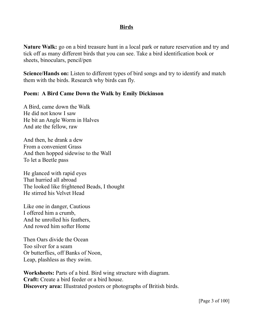#### **Birds**

**Nature Walk:** go on a bird treasure hunt in a local park or nature reservation and try and tick off as many different birds that you can see. Take a bird identification book or sheets, binoculars, pencil/pen

**Science/Hands on:** Listen to different types of bird songs and try to identify and match them with the birds. Research why birds can fly.

## **Poem: A Bird Came Down the Walk by Emily Dickinson**

A Bird, came down the Walk He did not know I saw He bit an Angle Worm in Halves And ate the fellow, raw

And then, he drank a dew From a convenient Grass And then hopped sidewise to the Wall To let a Beetle pass

He glanced with rapid eyes That hurried all abroad The looked like frightened Beads, I thought He stirred his Velvet Head

Like one in danger, Cautious I offered him a crumb, And he unrolled his feathers, And rowed him softer Home

Then Oars divide the Ocean Too silver for a seam Or butterflies, off Banks of Noon, Leap, plashless as they swim.

**Worksheets:** Parts of a bird. Bird wing structure with diagram. **Craft:** Create a bird feeder or a bird house. **Discovery area:** Illustrated posters or photographs of British birds.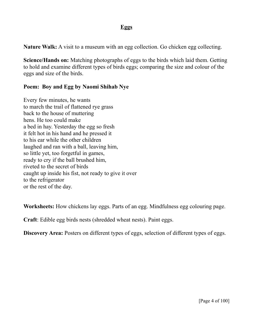## **Eggs**

**Nature Walk:** A visit to a museum with an egg collection. Go chicken egg collecting.

**Science/Hands on:** Matching photographs of eggs to the birds which laid them. Getting to hold and examine different types of birds eggs; comparing the size and colour of the eggs and size of the birds.

#### **Poem: Boy and Egg by Naomi Shihab Nye**

Every few minutes, he wants to march the trail of flattened rye grass back to the house of muttering hens. He too could make a bed in hay. Yesterday the egg so fresh it felt hot in his hand and he pressed it to his ear while the other children laughed and ran with a ball, leaving him, so little yet, too forgetful in games, ready to cry if the ball brushed him, riveted to the secret of birds caught up inside his fist, not ready to give it over to the refrigerator or the rest of the day.

**Worksheets:** How chickens lay eggs. Parts of an egg. Mindfulness egg colouring page.

**Craft**: Edible egg birds nests (shredded wheat nests). Paint eggs.

**Discovery Area:** Posters on different types of eggs, selection of different types of eggs.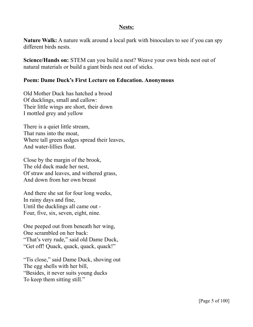#### **Nests:**

**Nature Walk:** A nature walk around a local park with binoculars to see if you can spy different birds nests.

**Science/Hands on:** STEM can you build a nest? Weave your own birds nest out of natural materials or build a giant birds nest out of sticks.

#### **Poem: Dame Duck's First Lecture on Education. Anonymous**

Old Mother Duck has hatched a brood Of ducklings, small and callow: Their little wings are short, their down I mottled grey and yellow

There is a quiet little stream, That runs into the moat, Where tall green sedges spread their leaves, And water-lillies float.

Close by the margin of the brook, The old duck made her nest, Of straw and leaves, and withered grass, And down from her own breast

And there she sat for four long weeks, In rainy days and fine, Until the ducklings all came out - Four, five, six, seven, eight, nine.

One peeped out from beneath her wing, One scrambled on her back: "That's very rude," said old Dame Duck, "Get off! Quack, quack, quack, quack!"

"Tis close," said Dame Duck, shoving out The egg shells with her bill, "Besides, it never suits young ducks To keep them sitting still."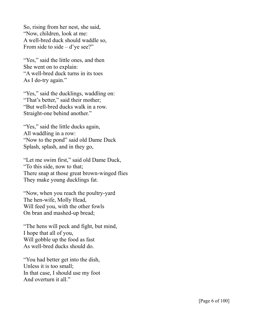So, rising from her nest, she said, "Now, children, look at me: A well-bred duck should waddle so, From side to side  $- d$ 'ye see?"

"Yes," said the little ones, and then She went on to explain: "A well-bred duck turns in its toes As I do-try again."

"Yes," said the ducklings, waddling on: "That's better," said their mother; "But well-bred ducks walk in a row. Straight-one behind another."

"Yes," said the little ducks again, All waddling in a row: "Now to the pond" said old Dame Duck Splash, splash, and in they go,

"Let me swim first," said old Dame Duck, "To this side, now to that; There snap at those great brown-winged flies They make young ducklings fat.

"Now, when you reach the poultry-yard The hen-wife, Molly Head, Will feed you, with the other fowls On bran and mashed-up bread;

"The hens will peck and fight, but mind, I hope that all of you, Will gobble up the food as fast As well-bred ducks should do.

"You had better get into the dish, Unless it is too small; In that case, I should use my foot And overturn it all."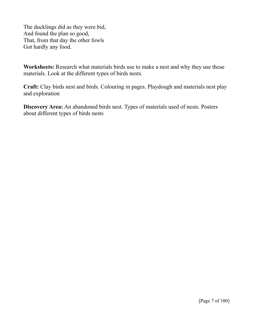The ducklings did as they were bid, And found the plan so good, That, from that day the other fowls Got hardly any food.

**Worksheets:** Research what materials birds use to make a nest and why they use those materials. Look at the different types of birds nests.

**Craft:** Clay birds nest and birds. Colouring in pages. Playdough and materials nest play and exploration

**Discovery Area:** An abandoned birds nest. Types of materials used of nests. Posters about different types of birds nests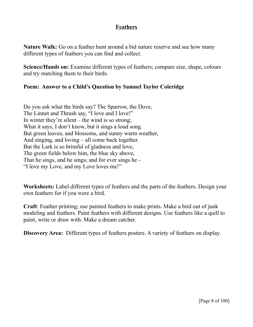## **Feathers**

**Nature Walk:** Go on a feather hunt around a bid nature reserve and see how many different types of feathers you can find and collect.

**Science/Hands on:** Examine different types of feathers; compare size, shape, colours and try matching them to their birds.

## **Poem: Answer to a Child's Question by Samuel Taylor Coleridge**

Do you ask what the birds say? The Sparrow, the Dove, The Linnet and Thrush say, "I love and I love!" In winter they're silent – the wind is so strong; What it says, I don't know, but it sings a loud song. But green leaves, and blossoms, and sunny warm weather, And singing, and loving – all come back together. But the Lark is so brimful of gladness and love, The green fields below him, the blue sky above, That he sings, and he sings; and for ever sings he - "I love my Love, and my Love loves me!"

**Worksheets:** Label different types of feathers and the parts of the feathers. Design your own feathers for if you were a bird.

**Craft**: Feather printing; use painted feathers to make prints. Make a bird out of junk modeling and feathers. Paint feathers with different designs. Use feathers like a quill to paint, write or draw with. Make a dream catcher.

**Discovery Area:** Different types of feathers posters. A variety of feathers on display.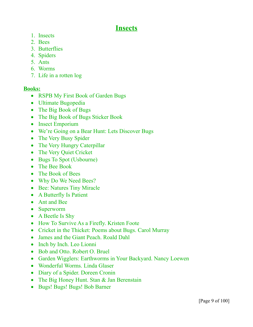## **Insects**

- 1. Insects
- 2. Bees
- 3. Butterflies
- 4. Spiders
- 5. Ants
- 6. Worms
- 7. Life in a rotten log

## **Books:**

- RSPB My First Book of Garden Bugs
- Ultimate Bugopedia
- The Big Book of Bugs
- The Big Book of Bugs Sticker Book
- Insect Emporium
- We're Going on a Bear Hunt: Lets Discover Bugs
- The Very Busy Spider
- The Very Hungry Caterpillar
- The Very Quiet Cricket
- Bugs To Spot (Usbourne)
- The Bee Book
- The Book of Bees
- Why Do We Need Bees?
- Bee: Natures Tiny Miracle
- A Butterfly Is Patient
- Ant and Bee
- Superworm
- A Beetle Is Shy
- How To Survive As a Firefly. Kristen Foote
- Cricket in the Thicket: Poems about Bugs. Carol Murray
- James and the Giant Peach. Roald Dahl
- Inch by Inch. Leo Lionni
- Bob and Otto. Robert O. Bruel
- Garden Wigglers: Earthworms in Your Backyard. Nancy Loewen
- Wonderful Worms. Linda Glaser
- Diary of a Spider. Doreen Cronin
- The Big Honey Hunt. Stan & Jan Berenstain
- Bugs! Bugs! Bugs! Bob Barner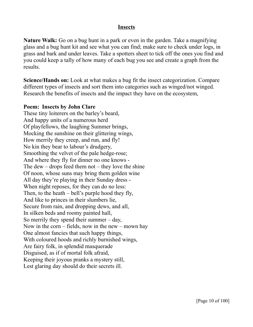#### **Insects**

**Nature Walk:** Go on a bug hunt in a park or even in the garden. Take a magnifying glass and a bug hunt kit and see what you can find; make sure to check under logs, in grass and bark and under leaves. Take a spotters sheet to tick off the ones you find and you could keep a tally of how many of each bug you see and create a graph from the results.

**Science/Hands on:** Look at what makes a bug fit the insect categorization. Compare different types of insects and sort them into categories such as winged/not winged. Research the benefits of insects and the impact they have on the ecosystem,

#### **Poem: Insects by John Clare**

These tiny loiterers on the barley's beard, And happy units of a numerous herd Of playfellows, the laughing Summer brings, Mocking the sunshine on their glittering wings, How merrily they creep, and run, and fly! No kin they bear to labour's drudgery, Smoothing the velvet of the pale hedge-rose; And where they fly for dinner no one knows - The dew – drops feed them not – they love the shine Of noon, whose suns may bring them golden wine All day they're playing in their Sunday dress - When night reposes, for they can do no less: Then, to the heath – bell's purple hood they fly, And like to princes in their slumbers lie, Secure from rain, and dropping dews, and all, In silken beds and roomy painted hall, So merrily they spend their summer – day, Now in the corn – fields, now in the new – mown hay One almost fancies that such happy things, With coloured hoods and richly burnished wings, Are fairy folk, in splendid masquerade Disguised, as if of mortal folk afraid, Keeping their joyous pranks a mystery still, Lest glaring day should do their secrets ill.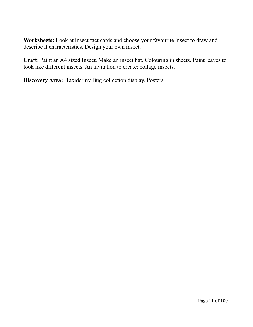**Worksheets:** Look at insect fact cards and choose your favourite insect to draw and describe it characteristics. Design your own insect.

**Craft**: Paint an A4 sized Insect. Make an insect hat. Colouring in sheets. Paint leaves to look like different insects. An invitation to create: collage insects.

**Discovery Area:** Taxidermy Bug collection display. Posters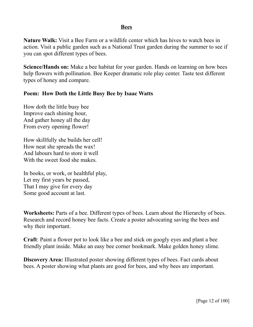#### **Bees**

**Nature Walk:** Visit a Bee Farm or a wildlife center which has hives to watch bees in action. Visit a public garden such as a National Trust garden during the summer to see if you can spot different types of bees.

**Science/Hands on:** Make a bee habitat for your garden. Hands on learning on how bees help flowers with pollination. Bee Keeper dramatic role play center. Taste test different types of honey and compare.

#### **Poem: How Doth the Little Busy Bee by Isaac Watts**

How doth the little busy bee Improve each shining hour, And gather honey all the day From every opening flower!

How skillfully she builds her cell! How neat she spreads the wax! And labours hard to store it well With the sweet food she makes.

In books, or work, or healthful play, Let my first years be passed, That I may give for every day Some good account at last.

**Worksheets:** Parts of a bee. Different types of bees. Learn about the Hierarchy of bees. Research and record honey bee facts. Create a poster advocating saving the bees and why their important.

**Craft**: Paint a flower pot to look like a bee and stick on googly eyes and plant a bee friendly plant inside. Make an easy bee corner bookmark. Make golden honey slime.

**Discovery Area:** Illustrated poster showing different types of bees. Fact cards about bees. A poster showing what plants are good for bees, and why bees are important.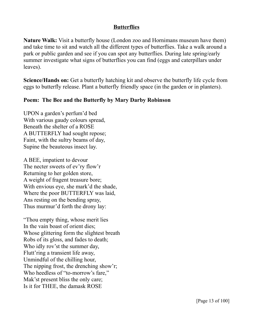## **Butterflies**

**Nature Walk:** Visit a butterfly house (London zoo and Hornimans museum have them) and take time to sit and watch all the different types of butterflies. Take a walk around a park or public garden and see if you can spot any butterflies. During late spring/early summer investigate what signs of butterflies you can find (eggs and caterpillars under leaves).

**Science/Hands on:** Get a butterfly hatching kit and observe the butterfly life cycle from eggs to butterfly release. Plant a butterfly friendly space (in the garden or in planters).

## **Poem: The Bee and the Butterfly by Mary Darby Robinson**

UPON a garden's perfum'd bed With various gaudy colours spread, Beneath the shelter of a ROSE A BUTTERFLY had sought repose; Faint, with the sultry beams of day, Supine the beauteous insect lay.

A BEE, impatient to devour The necter sweets of ev'ry flow'r Returning to her golden store, A weight of fragent treasure bore; With envious eye, she mark'd the shade, Where the poor BUTTERFLY was laid, Ans resting on the bending spray, Thus murmur'd forth the drony lay:

"Thou empty thing, whose merit lies In the vain boast of orient dies; Whose glittering form the slightest breath Robs of its gloss, and fades to death; Who idly rov'st the summer day, Flutt'ring a transient life away, Unmindful of the chilling hour, The nipping frost, the drenching show'r; Who heedless of "to-morrow's fare," Mak'st present bliss the only care; Is it for THEE, the damask ROSE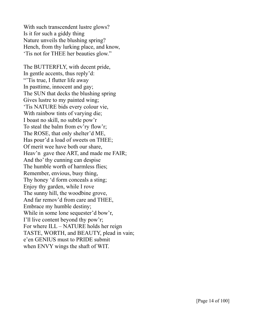With such transcendent lustre glows? Is it for such a giddy thing Nature unveils the blushing spring? Hench, from thy lurking place, and know, 'Tis not for THEE her beauties glow."

The BUTTERFLY, with decent pride, In gentle accents, thus reply'd: "Tis true, I flutter life away" In pasttime, innocent and gay; The SUN that decks the blushing spring Gives lustre to my painted wing; 'Tis NATURE bids every colour vie, With rainbow tints of varying die; I boast no skill, no subtle pow'r To steal the balm from ev'ry flow'r; The ROSE, that only shelter'd ME, Has pour'd a load of sweets on THEE; Of merit wee have both our share, Heav'n gave thee ART, and made me FAIR; And tho' thy cunning can despise The humble worth of harmless flies; Remember, envious, busy thing, Thy honey 'd form conceals a sting; Enjoy thy garden, while I rove The sunny hill, the woodbine grove, And far remov'd from care and THEE, Embrace my humble destiny; While in some lone sequester'd bow'r, I'll live content beyond thy pow'r; For where ILL – NATURE holds her reign TASTE, WORTH, and BEAUTY, plead in vain; e'en GENIUS must to PRIDE submit when ENVY wings the shaft of WIT.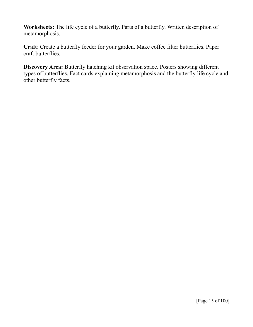**Worksheets:** The life cycle of a butterfly. Parts of a butterfly. Written description of metamorphosis.

**Craft**: Create a butterfly feeder for your garden. Make coffee filter butterflies. Paper craft butterflies.

**Discovery Area:** Butterfly hatching kit observation space. Posters showing different types of butterflies. Fact cards explaining metamorphosis and the butterfly life cycle and other butterfly facts.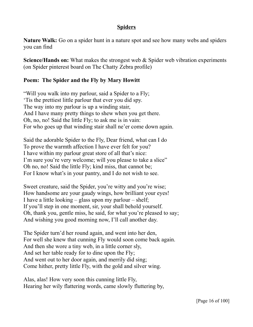## **Spiders**

**Nature Walk:** Go on a spider hunt in a nature spot and see how many webs and spiders you can find

**Science/Hands on:** What makes the strongest web & Spider web vibration experiments (on Spider pinterest board on The Chatty Zebra profile)

## **Poem: The Spider and the Fly by Mary Howitt**

"Will you walk into my parlour, said a Spider to a Fly; 'Tis the prettiest little parlour that ever you did spy. The way into my parlour is up a winding stair, And I have many pretty things to shew when you get there. Oh, no, no! Said the little Fly; to ask me is in vain: For who goes up that winding stair shall ne'er come down again.

Said the adorable Spider to the Fly, Dear friend, what can I do To prove the warmth affection I have ever felt for you? I have within my parlour great store of all that's nice: I'm sure you're very welcome; will you please to take a slice" Oh no, no! Said the little Fly; kind miss, that cannot be; For I know what's in your pantry, and I do not wish to see.

Sweet creature, said the Spider, you're witty and you're wise; How handsome are your gaudy wings, how brilliant your eyes! I have a little looking – glass upon my parlour – shelf; If you'll step in one moment, sir, your shall behold yourself. Oh, thank you, gentle miss, he said, for what you're pleased to say; And wishing you good morning now, I'll call another day.

The Spider turn'd her round again, and went into her den, For well she knew that cunning Fly would soon come back again. And then she wore a tiny web, in a little corner sly, And set her table ready for to dine upon the Fly; And went out to her door again, and merrily did sing; Come hither, pretty little Fly, with the gold and silver wing.

Alas, alas! How very soon this cunning little Fly, Hearing her wily flattering words, came slowly fluttering by,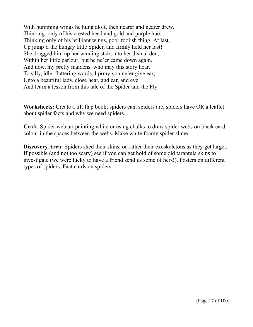With humming wings he hung aloft, then nearer and nearer drew. Thinking only of his crested head and gold and purple hue: Thinking only of his brilliant wings, poor foolish thing! At last, Up jump'd the hungry little Spider, and firmly held her fast! She dragged him up her winding stair, into her dismal den, Within her little parlour; but he ne'er came down again. And now, my pretty maidens, who may this story hear, To silly, idle, flattering words, I prray you ne'er give ear; Unto a beautiful lady, close hear, and ear, and eye And learn a lesson from this tale of the Spider and the Fly

**Worksheets:** Create a lift flap book; spiders can, spiders are, spiders have OR a leaflet about spider facts and why we need spiders.

**Craft**: Spider web art painting white or using chalks to draw spider webs on black card, colour in the spaces between the webs. Make white foamy spider slime.

**Discovery Area:** Spiders shed their skins, or rather their exoskeletons as they get larger. If possible (and not too scary) see if you can get hold of some old tarantula skins to investigate (we were lucky to have a friend send us some of hers!). Posters on different types of spiders. Fact cards on spiders.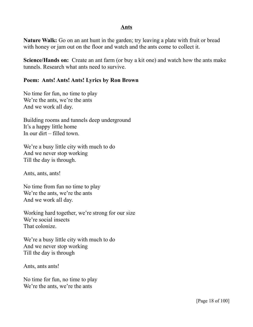#### **Ants**

**Nature Walk:** Go on an ant hunt in the garden; try leaving a plate with fruit or bread with honey or jam out on the floor and watch and the ants come to collect it.

**Science/Hands on:** Create an ant farm (or buy a kit one) and watch how the ants make tunnels. Research what ants need to survive.

#### **Poem: Ants! Ants! Ants! Lyrics by Ron Brown**

No time for fun, no time to play We're the ants, we're the ants And we work all day.

Building rooms and tunnels deep underground It's a happy little home In our dirt – filled town.

We're a busy little city with much to do And we never stop working Till the day is through.

Ants, ants, ants!

No time from fun no time to play We're the ants, we're the ants And we work all day.

Working hard together, we're strong for our size We're social insects That colonize.

We're a busy little city with much to do And we never stop working Till the day is through

Ants, ants ants!

No time for fun, no time to play We're the ants, we're the ants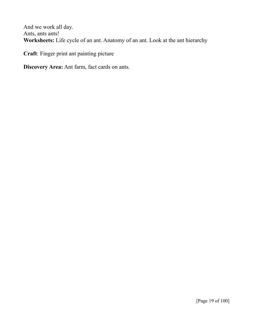And we work all day. Ants, ants ants! **Worksheets:** Life cycle of an ant. Anatomy of an ant. Look at the ant hierarchy

**Craft**: Finger print ant painting picture

**Discovery Area:** Ant farm, fact cards on ants.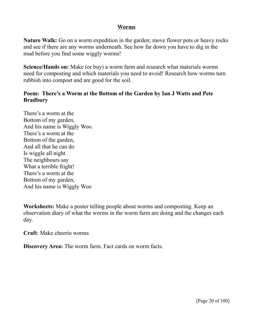#### **Worms**

**Nature Walk:** Go on a worm expedition in the garden; move flower pots or heavy rocks and see if there are any worms underneath. See how far down you have to dig in the mud before you find some wiggly worms!

**Science/Hands on:** Make (or buy) a worm farm and research what materials worms need for composting and which materials you need to avoid! Research how worms turn rubbish into compost and are good for the soil.

## **Poem: There's a Worm at the Bottom of the Garden by Ian J Watts and Pete Bradbury**

There's a worm at the Bottom of my garden, And his name is Wiggly Woo. There's a worm at the Bottom of the garden, And all that he can do Is wiggle all night The neighbours say What a terrible fright! There's a worm at the Bottom of my garden, And his name is Wiggly Woo

**Worksheets:** Make a poster telling people about worms and composting. Keep an observation diary of what the worms in the worm farm are doing and the changes each day.

**Craft**: Make cheerio worms

**Discovery Area:** The worm farm. Fact cards on worm facts.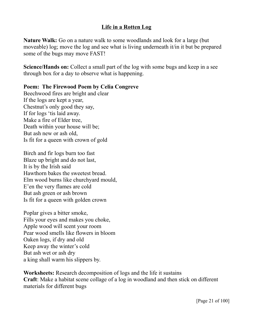## **Life in a Rotten Log**

**Nature Walk:** Go on a nature walk to some woodlands and look for a large (but moveable) log; move the log and see what is living underneath it/in it but be prepared some of the bugs may move FAST!

**Science/Hands on:** Collect a small part of the log with some bugs and keep in a see through box for a day to observe what is happening.

**Poem: The Firewood Poem by Celia Congreve**

Beechwood fires are bright and clear If the logs are kept a year, Chestnut's only good they say, If for logs 'tis laid away. Make a fire of Elder tree, Death within your house will be; But ash new or ash old, Is fit for a queen with crown of gold

Birch and fir logs burn too fast Blaze up bright and do not last, It is by the Irish said Hawthorn bakes the sweetest bread. Elm wood burns like churchyard mould, E'en the very flames are cold But ash green or ash brown Is fit for a queen with golden crown

Poplar gives a bitter smoke, Fills your eyes and makes you choke, Apple wood will scent your room Pear wood smells like flowers in bloom Oaken logs, if dry and old Keep away the winter's cold But ash wet or ash dry a king shall warm his slippers by.

**Worksheets:** Research decomposition of logs and the life it sustains **Craft**: Make a habitat scene collage of a log in woodland and then stick on different materials for different bugs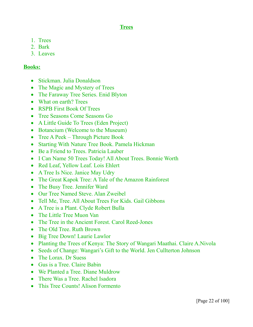## **Trees**

- 1. Trees
- 2. Bark
- 3. Leaves

## **Books:**

- Stickman. Julia Donaldson
- The Magic and Mystery of Trees
- The Faraway Tree Series. Enid Blyton
- What on earth? Trees
- RSPB First Book Of Trees
- Tree Seasons Come Seasons Go
- A Little Guide To Trees (Eden Project)
- Botancium (Welcome to the Museum)
- Tree A Peek Through Picture Book
- Starting With Nature Tree Book. Pamela Hickman
- Be a Friend to Trees. Patricia Lauber
- I Can Name 50 Trees Today! All About Trees. Bonnie Worth
- Red Leaf, Yellow Leaf. Lois Ehlert
- A Tree Is Nice. Janice May Udry
- The Great Kapok Tree: A Tale of the Amazon Rainforest
- The Busy Tree. Jennifer Ward
- Our Tree Named Steve. Alan Zweibel
- Tell Me, Tree. All About Trees For Kids. Gail Gibbons
- A Tree is a Plant. Clyde Robert Bulla
- The Little Tree Muon Van
- The Tree in the Ancient Forest. Carol Reed-Jones
- The Old Tree. Ruth Brown
- Big Tree Down! Laurie Lawlor
- Planting the Trees of Kenya: The Story of Wangari Maathai. Claire A.Nivola
- Seeds of Change: Wangari's Gift to the World. Jen Cullterton Johnson
- The Lorax. Dr Suess
- Gus is a Tree. Claire Babin
- We Planted a Tree. Diane Muldrow
- There Was a Tree. Rachel Isadora
- This Tree Counts! Alison Formento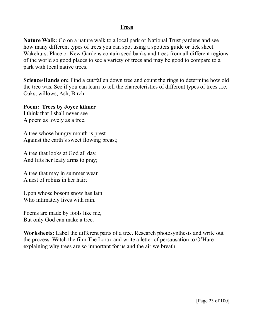#### **Trees**

**Nature Walk:** Go on a nature walk to a local park or National Trust gardens and see how many different types of trees you can spot using a spotters guide or tick sheet. Wakehurst Place or Kew Gardens contain seed banks and trees from all different regions of the world so good places to see a variety of trees and may be good to compare to a park with local native trees.

**Science/Hands on:** Find a cut/fallen down tree and count the rings to determine how old the tree was. See if you can learn to tell the charecteristics of different types of trees .i.e. Oaks, willows, Ash, Birch.

**Poem: Trees by Joyce kilmer**

I think that I shall never see A poem as lovely as a tree.

A tree whose hungry mouth is prest Against the earth's sweet flowing breast;

A tree that looks at God all day, And lifts her leafy arms to pray;

A tree that may in summer wear A nest of robins in her hair;

Upon whose bosom snow has lain Who intimately lives with rain.

Poems are made by fools like me, But only God can make a tree.

**Worksheets:** Label the different parts of a tree. Research photosynthesis and write out the process. Watch the film The Lorax and write a letter of persausation to O'Hare explaining why trees are so important for us and the air we breath.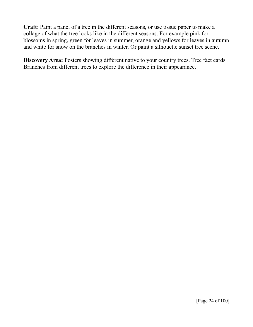**Craft**: Paint a panel of a tree in the different seasons, or use tissue paper to make a collage of what the tree looks like in the different seasons. For example pink for blossoms in spring, green for leaves in summer, orange and yellows for leaves in autumn and white for snow on the branches in winter. Or paint a silhouette sunset tree scene.

**Discovery Area:** Posters showing different native to your country trees. Tree fact cards. Branches from different trees to explore the difference in their appearance.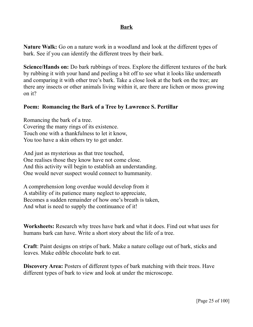#### **Bark**

**Nature Walk:** Go on a nature work in a woodland and look at the different types of bark. See if you can identify the different trees by their bark.

**Science/Hands on:** Do bark rubbings of trees. Explore the different textures of the bark by rubbing it with your hand and peeling a bit off to see what it looks like underneath and comparing it with other tree's bark. Take a close look at the bark on the tree; are there any insects or other animals living within it, are there are lichen or moss growing on it?

## **Poem: Romancing the Bark of a Tree by Lawrence S. Pertillar**

Romancing the bark of a tree. Covering the many rings of its existence. Touch one with a thankfulness to let it know, You too have a skin others try to get under.

And just as mysterious as that tree touched, One realises those they know have not come close. And this activity will begin to establish an understanding. One would never suspect would connect to hummanity.

A comprehension long overdue would develop from it A stability of its patience many neglect to appreciate, Becomes a sudden remainder of how one's breath is taken, And what is need to supply the continuance of it!

**Worksheets:** Research why trees have bark and what it does. Find out what uses for humans bark can have. Write a short story about the life of a tree.

**Craft**: Paint designs on strips of bark. Make a nature collage out of bark, sticks and leaves. Make edible chocolate bark to eat.

**Discovery Area:** Posters of different types of bark matching with their trees. Have different types of bark to view and look at under the microscope.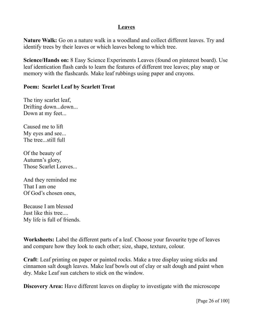## **Leaves**

**Nature Walk:** Go on a nature walk in a woodland and collect different leaves. Try and identify trees by their leaves or which leaves belong to which tree.

**Science/Hands on:** 8 Easy Science Experiments Leaves (found on pinterest board). Use leaf identication flash cards to learn the features of different tree leaves; play snap or memory with the flashcards. Make leaf rubbings using paper and crayons.

#### **Poem: Scarlet Leaf by Scarlett Treat**

The tiny scarlet leaf, Drifting down...down... Down at my feet...

Caused me to lift My eyes and see... The tree...still full

Of the beauty of Autumn's glory, Those Scarlet Leaves...

And they reminded me That I am one Of God's chosen ones,

Because I am blessed Just like this tree.... My life is full of friends.

**Worksheets:** Label the different parts of a leaf. Choose your favourite type of leaves and compare how they look to each other; size, shape, texture, colour.

**Craft**: Leaf printing on paper or painted rocks. Make a tree display using sticks and cinnamon salt dough leaves. Make leaf bowls out of clay or salt dough and paint when dry. Make Leaf sun catchers to stick on the window.

**Discovery Area:** Have different leaves on display to investigate with the microscope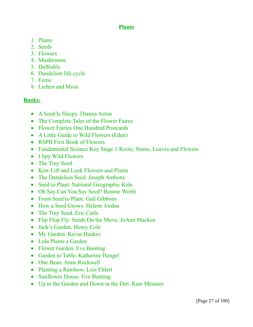## **Plants**

- 1. Plants
- 2. Seeds
- 3. Flowers
- 4. Mushrooms
- 5. Daffodils
- 6. Dandelion life cycle
- 7. Ferns
- 8. Lichen and Moss

## **Books:**

- A Seed Is Sleepy. Dianna Aston
- The Complete Tales of the Flower Faires
- Flower Fairies One Hundred Postcards
- A Little Guide to Wild Flowers (Eden)
- RSPB First Book of Flowers
- Fundamental Science Key Stage 1 Roots, Stems, Leaves and Flowers
- I Spy Wild Flowers
- The Tiny Seed
- Kew Lift and Look Flowers and Plants
- The Dandelion Seed. Joseph Anthony
- Seed to Plant. National Geographic Kids
- Oh Say Can You Say Seed? Bonnie Worth
- From Seed to Plant. Gail Gibbons
- How a Seed Grows. Helene Jordan
- The Tiny Seed. Eric Carle
- Flip Flop Fly: Seeds On the Move. JoAnn Macken
- Jack's Garden. Henry Cole
- My Garden. Kevin Henkes
- Lola Plants a Garden
- Flower Garden. Eve Bunting
- Garden to Table. Katherine Hengel
- One Bean. Anne Rockwell
- Planting a Rainbow. Lois Ehlert
- Sunflower House. Eve Bunting
- Up in the Garden and Down in the Dirt. Kate Messner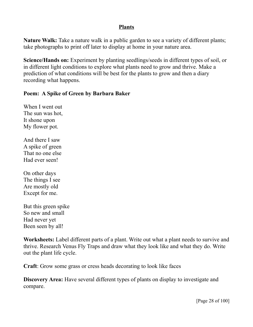#### **Plants**

**Nature Walk:** Take a nature walk in a public garden to see a variety of different plants; take photographs to print off later to display at home in your nature area.

**Science/Hands on:** Experiment by planting seedlings/seeds in different types of soil, or in different light conditions to explore what plants need to grow and thrive. Make a prediction of what conditions will be best for the plants to grow and then a diary recording what happens.

## **Poem: A Spike of Green by Barbara Baker**

When I went out The sun was hot, It shone upon My flower pot.

And there I saw A spike of green That no one else Had ever seen!

On other days The things I see Are mostly old Except for me.

But this green spike So new and small Had never yet Been seen by all!

**Worksheets:** Label different parts of a plant. Write out what a plant needs to survive and thrive. Research Venus Fly Traps and draw what they look like and what they do. Write out the plant life cycle.

**Craft**: Grow some grass or cress heads decorating to look like faces

**Discovery Area:** Have several different types of plants on display to investigate and compare.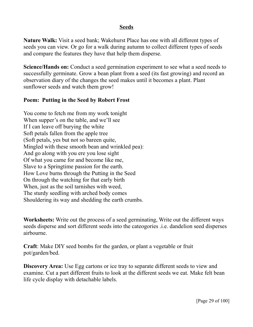#### **Seeds**

**Nature Walk:** Visit a seed bank; Wakehurst Place has one with all different types of seeds you can view. Or go for a walk during autumn to collect different types of seeds and compare the features they have that help them disperse.

**Science/Hands on:** Conduct a seed germination experiment to see what a seed needs to successfully germinate. Grow a bean plant from a seed (its fast growing) and record an observation diary of the changes the seed makes until it becomes a plant. Plant sunflower seeds and watch them grow!

#### **Poem: Putting in the Seed by Robert Frost**

You come to fetch me from my work tonight When supper's on the table, and we'll see If I can leave off burying the white Soft petals fallen from the apple tree (Soft petals, yes but not so bareen quite, Mingled with these smooth bean and wrinkled pea): And go along with you ere you lose sight Of what you came for and become like me, Slave to a Springtime passion for the earth. How Love burns through the Putting in the Seed On through the watching for that early birth When, just as the soil tarnishes with weed, The sturdy seedling with arched body comes Shouldering its way and shedding the earth crumbs.

**Worksheets:** Write out the process of a seed germinating, Write out the different ways seeds disperse and sort different seeds into the cateogories .i.e. dandelion seed disperses airbourne.

**Craft**: Make DIY seed bombs for the garden, or plant a vegetable or fruit pot/garden/bed.

**Discovery Area:** Use Egg cartons or ice tray to separate different seeds to view and examine. Cut a part different fruits to look at the different seeds we eat. Make felt bean life cycle display with detachable labels.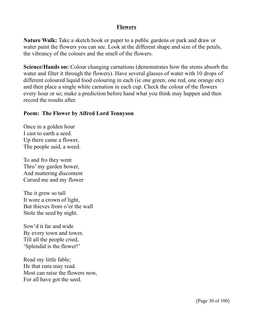#### **Flowers**

**Nature Walk:** Take a sketch book or paper to a public gardens or park and draw or water paint the flowers you can see. Look at the different shape and size of the petals, the vibrancy of the colours and the smell of the flowers.

**Science/Hands on:** Colour changing carnations (demonstrates how the stems absorb the water and filter it through the flowers). Have several glasses of water with 10 drops of different coloured liquid food colouring in each (ie one green, one red, one orange etc) and then place a single white carnation in each cup. Check the colour of the flowers every hour or so; make a prediction before hand what you think may happen and then record the results after.

#### **Poem: The Flower by Alfred Lord Tennyson**

Once in a golden hour I cast to earth a seed. Up there came a flower, The people said, a weed.

To and fro they went Thro' my garden bower, And muttering discontent Cursed me and my flower

The it grew so tall It wore a crown of light, But thieves from o'er the wall Stole the seed by night.

Sow'd it far and wide By every town and tower, Till all the people cried, 'Splendid is the flower!'

Read my little fable; He that runs may read. Most can raise the flowers now, For all have got the seed.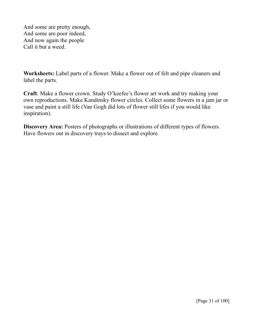And some are pretty enough, And some are poor indeed, And now again the people Call it but a weed.

**Worksheets:** Label parts of a flower. Make a flower out of felt and pipe cleaners and label the parts.

**Craft**: Make a flower crown. Study O'keefee's flower art work and try making your own reproductions. Make Kandinsky flower circles. Collect some flowers in a jam jar or vase and paint a still life (Van Gogh did lots of flower still lifes if you would like inspiration).

**Discovery Area:** Posters of photographs or illustrations of different types of flowers. Have flowers out in discovery trays to dissect and explore.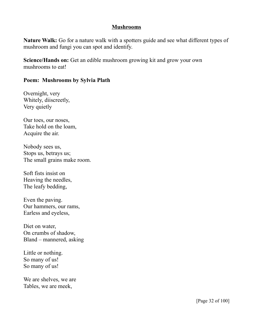#### **Mushrooms**

**Nature Walk:** Go for a nature walk with a spotters guide and see what different types of mushroom and fungi you can spot and identify.

**Science/Hands on:** Get an edible mushroom growing kit and grow your own mushrooms to eat!

## **Poem: Mushrooms by Sylvia Plath**

Overnight, very Whitely, diiscreetly, Very quietly

Our toes, our noses, Take hold on the loam, Acquire the air.

Nobody sees us, Stops us, betrays us; The small grains make room.

Soft fists insist on Heaving the needles, The leafy bedding,

Even the paving. Our hammers, our rams, Earless and eyeless,

Diet on water, On crumbs of shadow, Bland – mannered, asking

Little or nothing. So many of us! So many of us!

We are shelves, we are Tables, we are meek,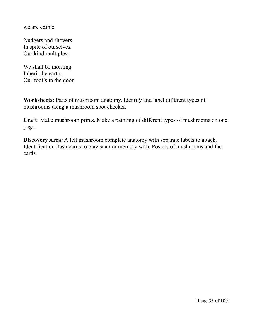we are edible,

Nudgers and shovers In spite of ourselves. Our kind multiples;

We shall be morning Inherit the earth. Our foot's in the door.

**Worksheets:** Parts of mushroom anatomy. Identify and label different types of mushrooms using a mushroom spot checker.

**Craft**: Make mushroom prints. Make a painting of different types of mushrooms on one page.

**Discovery Area:** A felt mushroom complete anatomy with separate labels to attach. Identification flash cards to play snap or memory with. Posters of mushrooms and fact cards.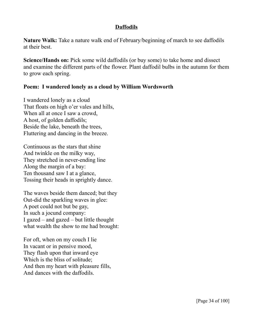## **Daffodils**

**Nature Walk:** Take a nature walk end of February/beginning of march to see daffodils at their best.

**Science/Hands on:** Pick some wild daffodils (or buy some) to take home and dissect and examine the different parts of the flower. Plant daffodil bulbs in the autumn for them to grow each spring.

#### **Poem: I wandered lonely as a cloud by William Wordsworth**

I wandered lonely as a cloud That floats on high o'er vales and hills, When all at once I saw a crowd, A host, of golden daffodils; Beside the lake, beneath the trees, Fluttering and dancing in the breeze.

Continuous as the stars that shine And twinkle on the milky way, They stretched in never-ending line Along the margin of a bay: Ten thousand saw I at a glance, Tossing their heads in sprightly dance.

The waves beside them danced; but they Out-did the sparkling waves in glee: A poet could not but be gay, In such a jocund company: I gazed – and gazed – but little thought what wealth the show to me had brought:

For oft, when on my couch I lie In vacant or in pensive mood, They flash upon that inward eye Which is the bliss of solitude; And then my heart with pleasure fills, And dances with the daffodils.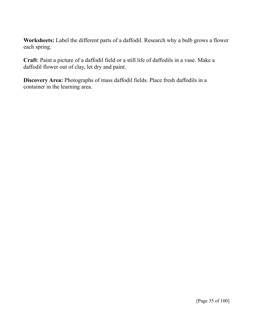**Worksheets:** Label the different parts of a daffodil. Research why a bulb grows a flower each spring.

**Craft**: Paint a picture of a daffodil field or a still life of daffodils in a vase. Make a daffodil flower out of clay, let dry and paint.

**Discovery Area:** Photographs of mass daffodil fields. Place fresh daffodils in a container in the learning area.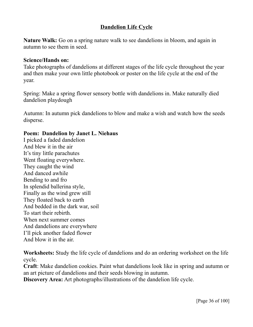# **Dandelion Life Cycle**

**Nature Walk:** Go on a spring nature walk to see dandelions in bloom, and again in autumn to see them in seed.

## **Science/Hands on:**

Take photographs of dandelions at different stages of the life cycle throughout the year and then make your own little photobook or poster on the life cycle at the end of the year.

Spring: Make a spring flower sensory bottle with dandelions in. Make naturally died dandelion playdough

Autumn: In autumn pick dandelions to blow and make a wish and watch how the seeds disperse.

## **Poem: Dandelion by Janet L. Niehaus**

I picked a faded dandelion And blew it in the air It's tiny little parachutes Went floating everywhere. They caught the wind And danced awhile Bending to and fro In splendid ballerina style, Finally as the wind grew still They floated back to earth And bedded in the dark war, soil To start their rebirth. When next summer comes And dandelions are everywhere I'll pick another faded flower And blow it in the air.

**Worksheets:** Study the life cycle of dandelions and do an ordering worksheet on the life cycle.

**Craft**: Make dandelion cookies. Paint what dandelions look like in spring and autumn or an art picture of dandelions and their seeds blowing in autumn.

**Discovery Area:** Art photographs/illustrations of the dandelion life cycle.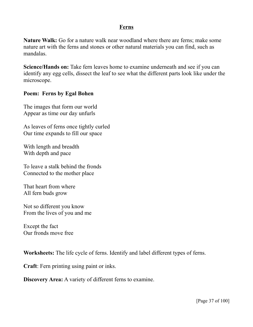### **Ferns**

**Nature Walk:** Go for a nature walk near woodland where there are ferns; make some nature art with the ferns and stones or other natural materials you can find, such as mandalas.

**Science/Hands on:** Take fern leaves home to examine underneath and see if you can identify any egg cells, dissect the leaf to see what the different parts look like under the microscope.

## **Poem: Ferns by Egal Bohen**

The images that form our world Appear as time our day unfurls

As leaves of ferns once tightly curled Our time expands to fill our space

With length and breadth With depth and pace

To leave a stalk behind the fronds Connected to the mother place

That heart from where All fern buds grow

Not so different you know From the lives of you and me

Except the fact Our fronds move free

**Worksheets:** The life cycle of ferns. Identify and label different types of ferns.

**Craft**: Fern printing using paint or inks.

**Discovery Area:** A variety of different ferns to examine.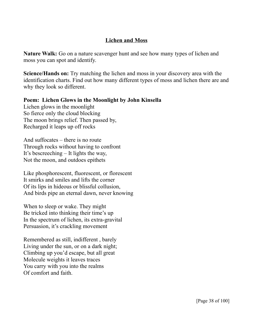# **Lichen and Moss**

**Nature Walk:** Go on a nature scavenger hunt and see how many types of lichen and moss you can spot and identify.

**Science/Hands on:** Try matching the lichen and moss in your discovery area with the identification charts. Find out how many different types of moss and lichen there are and why they look so different.

**Poem: Lichen Glows in the Moonlight by John Kinsella** Lichen glows in the moonlight So fierce only the cloud blocking The moon brings relief. Then passed by, Recharged it leaps up off rocks

And suffocates – there is no route Through rocks without having to confront It's bescreeching – It lights the way, Not the moon, and outdoes epithets

Like phosphorescent, fluorescent, or florescent It smirks and smiles and lifts the corner Of its lips in hideous or blissful collusion, And birds pipe an eternal dawn, never knowing

When to sleep or wake. They might Be tricked into thinking their time's up In the spectrum of lichen, its extra-gravital Persuasion, it's crackling movement

Remembered as still, indifferent , barely Living under the sun, or on a dark night; Climbing up you'd escape, but all great Molecule weights it leaves traces You carry with you into the realms Of comfort and faith.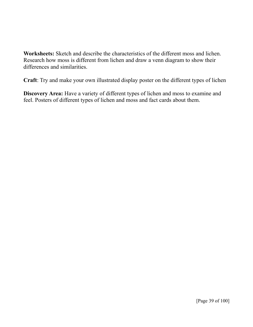**Worksheets:** Sketch and describe the characteristics of the different moss and lichen. Research how moss is different from lichen and draw a venn diagram to show their differences and similarities.

**Craft**: Try and make your own illustrated display poster on the different types of lichen

**Discovery Area:** Have a variety of different types of lichen and moss to examine and feel. Posters of different types of lichen and moss and fact cards about them.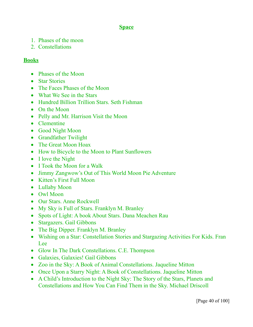# **Space**

- 1. Phases of the moon
- 2. Constellations

# **Books**

- Phases of the Moon
- Star Stories
- The Faces Phases of the Moon
- What We See in the Stars
- Hundred Billion Trillion Stars. Seth Fishman
- On the Moon
- Pelly and Mr. Harrison Visit the Moon
- Clementine
- Good Night Moon
- Grandfather Twilight
- The Great Moon Hoax
- How to Bicycle to the Moon to Plant Sunflowers
- I love the Night
- I Took the Moon for a Walk
- Jimmy Zangwow's Out of This World Moon Pie Adventure
- Kitten's First Full Moon
- Lullaby Moon
- Owl Moon
- Our Stars. Anne Rockwell
- My Sky is Full of Stars. Franklyn M. Branley
- Spots of Light: A book About Stars. Dana Meachen Rau
- Stargazers. Gail Gibbons
- The Big Dipper. Franklyn M. Branley
- Wishing on a Star: Constellation Stories and Stargazing Activities For Kids. Fran Lee
- Glow In The Dark Constellations. C.E. Thompson
- Galaxies, Galaxies! Gail Gibbons
- Zoo in the Sky: A Book of Animal Constellations. Jaqueline Mitton
- Once Upon a Starry Night: A Book of Constellations. Jaqueline Mitton
- A Child's Introduction to the Night Sky: The Story of the Stars, Planets and Constellations and How You Can Find Them in the Sky. Michael Driscoll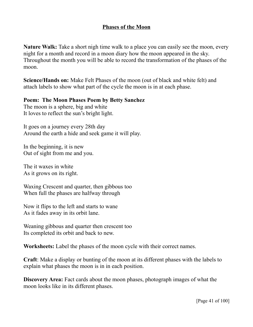# **Phases of the Moon**

**Nature Walk:** Take a short nigh time walk to a place you can easily see the moon, every night for a month and record in a moon diary how the moon appeared in the sky. Throughout the month you will be able to record the transformation of the phases of the moon.

**Science/Hands on:** Make Felt Phases of the moon (out of black and white felt) and attach labels to show what part of the cycle the moon is in at each phase.

**Poem: The Moon Phases Poem by Betty Sanchez** The moon is a sphere, big and white

It loves to reflect the sun's bright light.

It goes on a journey every 28th day Around the earth a hide and seek game it will play.

In the beginning, it is new Out of sight from me and you.

The it waxes in white As it grows on its right.

Waxing Crescent and quarter, then gibbous too When full the phases are halfway through

Now it flips to the left and starts to wane As it fades away in its orbit lane.

Weaning gibbous and quarter then crescent too Its completed its orbit and back to new.

**Worksheets:** Label the phases of the moon cycle with their correct names.

**Craft**: Make a display or bunting of the moon at its different phases with the labels to explain what phases the moon is in in each position.

**Discovery Area:** Fact cards about the moon phases, photograph images of what the moon looks like in its different phases.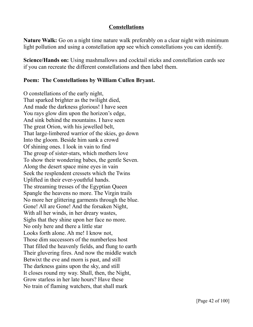## **Constellations**

**Nature Walk:** Go on a night time nature walk preferably on a clear night with minimum light pollution and using a constellation app see which constellations you can identify.

**Science/Hands on:** Using mashmallows and cocktail sticks and constellation cards see if you can recreate the different constellations and then label them.

# **Poem: The Constellations by William Cullen Bryant.**

O constellations of the early night, That sparked brighter as the twilight died, And made the darkness glorious! I have seen You rays glow dim upon the horizon's edge, And sink behind the mountains. I have seen The great Orion, with his jewelled belt, That large-limbered warrior of the skies, go down Into the gloom. Beside him sank a crowd Of shining ones. I look in vain to find The group of sister-stars, which mothers love To show their wondering babes, the gentle Seven. Along the desert space mine eyes in vain Seek the resplendent cressets which the Twins Uplifted in their ever-youthful hands. The streaming tresses of the Egyptian Queen Spangle the heavens no more. The Virgin trails No more her glittering garments through the blue. Gone! All are Gone! And the forsaken Night, With all her winds, in her dreary wastes, Sighs that they shine upon her face no more. No only here and there a little star Looks forth alone. Ah me! I know not, Those dim successors of the numberless host That filled the heavenly fields, and flung to earth Their gluvering fires. And now the middle watch Betwixt the eve and morn is past, and still The darkness gains upon the sky, and still It closes round my way. Shall, then, the Night, Grow starless in her late hours? Have these No train of flaming watchers, that shall mark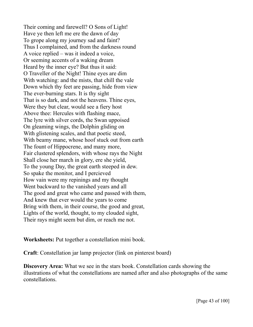Their coming and farewell? O Sons of Light! Have ye then left me ere the dawn of day To grope along my journey sad and faint? Thus I complained, and from the darkness round A voice replied – was it indeed a voice, Or seeming accents of a waking dream Heard by the inner eye? But thus it said: O Traveller of the Night! Thine eyes are dim With watching: and the mists, that chill the vale Down which thy feet are passing, hide from view The ever-burning stars. It is thy sight That is so dark, and not the heavens. Thine eyes, Were they but clear, would see a fiery host Above thee: Hercules with flashing mace, The lyre with silver cords, the Swan uppoised On gleaming wings, the Dolphin gliding on With glistening scales, and that poetic steed, With beamy mane, whose hoof stuck out from earth The fount of Hippocrene, and many more, Fair clustered splendors, with whose rays the Night Shall close her march in glory, ere she yield, To the young Day, the great earth steeped in dew. So spake the monitor, and I percieved How vain were my repinings and my thought Went backward to the vanished years and all The good and great who came and passed with them, And knew that ever would the years to come Bring with them, in their course, the good and great, Lights of the world, thought, to my clouded sight, Their rays might seem but dim, or reach me not.

**Worksheets:** Put together a constellation mini book.

**Craft**: Constellation jar lamp projector (link on pinterest board)

**Discovery Area:** What we see in the stars book. Constellation cards showing the illustrations of what the constellations are named after and also photographs of the same constellations.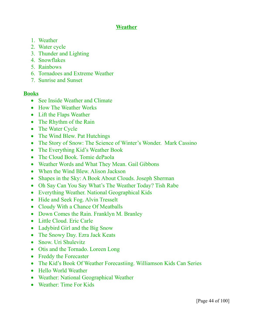# **Weather**

- 1. Weather
- 2. Water cycle
- 3. Thunder and Lighting
- 4. Snowflakes
- 5. Rainbows
- 6. Tornadoes and Extreme Weather
- 7. Sunrise and Sunset

#### **Books**

- See Inside Weather and Climate
- How The Weather Works
- Lift the Flaps Weather
- The Rhythm of the Rain
- The Water Cycle
- The Wind Blew. Pat Hutchings
- The Story of Snow: The Science of Winter's Wonder. Mark Cassino
- The Everything Kid's Weather Book
- The Cloud Book. Tomie dePaola
- Weather Words and What They Mean. Gail Gibbons
- When the Wind Blew. Alison Jackson
- Shapes in the Sky: A Book About Clouds. Joseph Sherman
- Oh Say Can You Say What's The Weather Today? Tish Rabe
- Everything Weather. National Geographical Kids
- Hide and Seek Fog. Alvin Tresselt
- Cloudy With a Chance Of Meatballs
- Down Comes the Rain. Franklyn M. Branley
- Little Cloud. Eric Carle
- Ladybird Girl and the Big Snow
- The Snowy Day. Ezra Jack Keats
- Snow. Uri Shulevitz
- Otis and the Tornado. Loreen Long
- Freddy the Forecaster
- The Kid's Book Of Weather Forecastiing. Williamson Kids Can Series
- Hello World Weather
- Weather: National Geographical Weather
- Weather: Time For Kids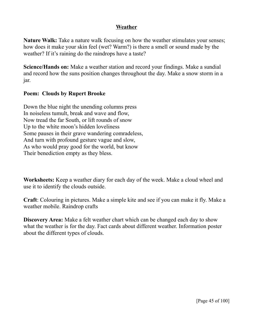## **Weather**

**Nature Walk:** Take a nature walk focusing on how the weather stimulates your senses; how does it make your skin feel (wet? Warm?) is there a smell or sound made by the weather? If it's raining do the raindrops have a taste?

**Science/Hands on:** Make a weather station and record your findings. Make a sundial and record how the suns position changes throughout the day. Make a snow storm in a jar.

## **Poem: Clouds by Rupert Brooke**

Down the blue night the unending columns press In noiseless tumult, break and wave and flow, Now tread the far South, or lift rounds of snow Up to the white moon's hidden loveliness Some pauses in their grave wandering comradeless, And turn with profound gesture vague and slow, As who would pray good for the world, but know Their benediction empty as they bless.

**Worksheets:** Keep a weather diary for each day of the week. Make a cloud wheel and use it to identify the clouds outside.

**Craft**: Colouring in pictures. Make a simple kite and see if you can make it fly. Make a weather mobile. Raindrop crafts

**Discovery Area:** Make a felt weather chart which can be changed each day to show what the weather is for the day. Fact cards about different weather. Information poster about the different types of clouds.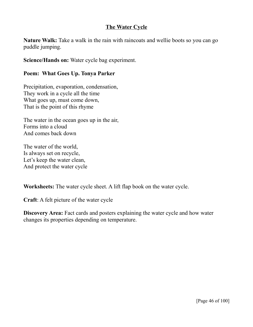# **The Water Cycle**

**Nature Walk:** Take a walk in the rain with raincoats and wellie boots so you can go puddle jumping.

**Science/Hands on:** Water cycle bag experiment.

### **Poem: What Goes Up. Tonya Parker**

Precipitation, evaporation, condensation, They work in a cycle all the time What goes up, must come down, That is the point of this rhyme

The water in the ocean goes up in the air, Forms into a cloud And comes back down

The water of the world, Is always set on recycle, Let's keep the water clean, And protect the water cycle

**Worksheets:** The water cycle sheet. A lift flap book on the water cycle.

**Craft**: A felt picture of the water cycle

**Discovery Area:** Fact cards and posters explaining the water cycle and how water changes its properties depending on temperature.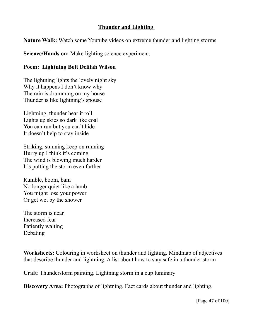# **Thunder and Lighting**

**Nature Walk:** Watch some Youtube videos on extreme thunder and lighting storms

**Science/Hands on:** Make lighting science experiment.

# **Poem: Lightning Bolt Delilah Wilson**

The lightning lights the lovely night sky Why it happens I don't know why The rain is drumming on my house Thunder is like lightning's spouse

Lightning, thunder hear it roll Lights up skies so dark like coal You can run but you can't hide It doesn't help to stay inside

Striking, stunning keep on running Hurry up I think it's coming The wind is blowing much harder It's putting the storm even farther

Rumble, boom, bam No longer quiet like a lamb You might lose your power Or get wet by the shower

The storm is near Increased fear Patiently waiting Debating

**Worksheets:** Colouring in worksheet on thunder and lighting. Mindmap of adjectives that describe thunder and lightning. A list about how to stay safe in a thunder storm

**Craft**: Thunderstorm painting. Lightning storm in a cup luminary

**Discovery Area:** Photographs of lightning. Fact cards about thunder and lighting.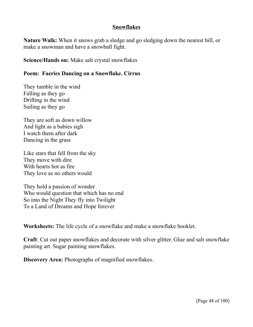### **Snowflakes**

**Nature Walk:** When it snows grab a sledge and go sledging down the nearest hill, or make a snowman and have a snowball fight.

**Science/Hands on:** Make salt crystal snowflakes

## **Poem: Faeries Dancing on a Snowflake. Cirrus**

They tumble in the wind Falling as they go Drifting in the wind Sailing as they go

They are soft as down willow And light as a babies sigh I watch them after dark Dancing in the grass

Like stars that fell from the sky They move with dire With hearts hot as fire They love as no others would

They hold a passion of wonder Who would question that which has no end So into the Night They fly into Twilight To a Land of Dreams and Hope forever

**Worksheets:** The life cycle of a snowflake and make a snowflake booklet.

**Craft**: Cut out paper snowflakes and decorate with silver glitter. Glue and salt snowflake painting art. Sugar painting snowflakes.

**Discovery Area:** Photographs of magnified snowflakes.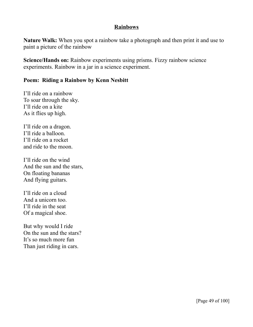## **Rainbows**

**Nature Walk:** When you spot a rainbow take a photograph and then print it and use to paint a picture of the rainbow

**Science/Hands on:** Rainbow experiments using prisms. Fizzy rainbow science experiments. Rainbow in a jar in a science experiment.

## **Poem: Riding a Rainbow by Kenn Nesbitt**

I'll ride on a rainbow To soar through the sky. I'll ride on a kite As it flies up high.

I'll ride on a dragon. I'll ride a balloon. I'll ride on a rocket and ride to the moon.

I'll ride on the wind And the sun and the stars, On floating bananas And flying guitars.

I'll ride on a cloud And a unicorn too. I'll ride in the seat Of a magical shoe.

But why would I ride On the sun and the stars? It's so much more fun Than just riding in cars.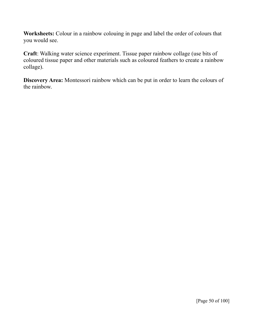**Worksheets:** Colour in a rainbow colouing in page and label the order of colours that you would see.

**Craft**: Walking water science experiment. Tissue paper rainbow collage (use bits of coloured tissue paper and other materials such as coloured feathers to create a rainbow collage).

**Discovery Area:** Montessori rainbow which can be put in order to learn the colours of the rainbow.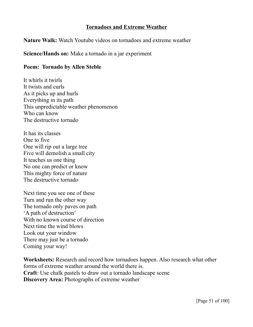## **Tornadoes and Extreme Weather**

**Nature Walk:** Watch Youtube videos on tornadoes and extreme weather

**Science/Hands on:** Make a tornado in a jar experiment

## **Poem: Tornado by Allen Steble**

It whirls it twirls It twists and curls As it picks up and hurls Everything in its path This unpredictable weather phenomenon Who can know The destructive tornado

It has its classes One to five One will rip out a large tree Five will demolish a small city It teaches us one thing No one can predict or know This mighty force of nature The destructive tornado

Next time you see one of these Turn and run the other way The tornado only paves on path 'A path of destruction' With no known course of direction Next time the wind blows Look out your window There may just be a tornado Coming your way!

**Worksheets:** Research and record how tornadoes happen. Also research what other forms of extreme weather around the world there is. **Craft**: Use chalk pastels to draw out a tornado landscape scene **Discovery Area:** Photographs of extreme weather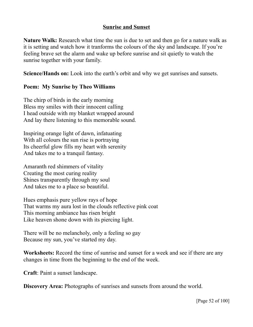## **Sunrise and Sunset**

**Nature Walk:** Research what time the sun is due to set and then go for a nature walk as it is setting and watch how it tranforms the colours of the sky and landscape. If you're feeling brave set the alarm and wake up before sunrise and sit quietly to watch the sunrise together with your family.

**Science/Hands on:** Look into the earth's orbit and why we get sunrises and sunsets.

## **Poem: My Sunrise by Theo Williams**

The chirp of birds in the early morning Bless my smiles with their innocent calling I head outside with my blanket wrapped around And lay there listening to this memorable sound.

Inspiring orange light of dawn, infatuating With all colours the sun rise is portraying Its cheerful glow fills my heart with serenity And takes me to a tranquil fantasy.

Amaranth red shimmers of vitality Creating the most curing reality Shines transparently through my soul And takes me to a place so beautiful.

Hues emphasis pure yellow rays of hope That warms my aura lost in the clouds reflective pink coat This morning ambiance has risen bright Like heaven shone down with its piercing light.

There will be no melancholy, only a feeling so gay Because my sun, you've started my day.

**Worksheets:** Record the time of sunrise and sunset for a week and see if there are any changes in time from the beginning to the end of the week.

**Craft**: Paint a sunset landscape.

**Discovery Area:** Photographs of sunrises and sunsets from around the world.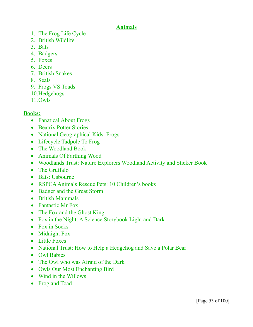# **Animals**

- 1. The Frog Life Cycle
- 2. British Wildlife
- 3. Bats
- 4. Badgers
- 5. Foxes
- 6. Deers
- 7. British Snakes
- 8. Seals
- 9. Frogs VS Toads
- 10.Hedgehogs
- 11.Owls

# **Books:**

- Fanatical About Frogs
- Beatrix Potter Stories
- National Geographical Kids: Frogs
- Lifecycle Tadpole To Frog
- The Woodland Book
- Animals Of Farthing Wood
- Woodlands Trust: Nature Explorers Woodland Activity and Sticker Book
- The Gruffalo
- Bats: Usbourne
- RSPCA Animals Rescue Pets: 10 Children's books
- Badger and the Great Storm
- British Mammals
- Fantastic Mr Fox
- The Fox and the Ghost King
- Fox in the Night: A Science Storybook Light and Dark
- Fox in Socks
- Midnight Fox
- Little Foxes
- National Trust: How to Help a Hedgehog and Save a Polar Bear
- Owl Babies
- The Owl who was Afraid of the Dark
- Owls Our Most Enchanting Bird
- Wind in the Willows
- Frog and Toad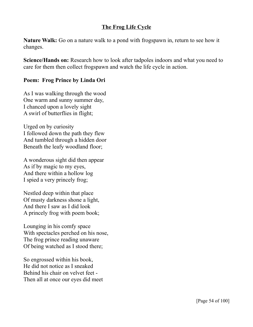# **The Frog Life Cycle**

**Nature Walk:** Go on a nature walk to a pond with frogspawn in, return to see how it changes.

**Science/Hands on:** Research how to look after tadpoles indoors and what you need to care for them then collect frogspawn and watch the life cycle in action.

## **Poem: Frog Prince by Linda Ori**

As I was walking through the wood One warm and sunny summer day, I chanced upon a lovely sight A swirl of butterflies in flight;

Urged on by curiosity I followed down the path they flew And tumbled through a hidden door Beneath the leafy woodland floor;

A wonderous sight did then appear As if by magic to my eyes, And there within a hollow log I spied a very princely frog;

Nestled deep within that place Of musty darkness shone a light, And there I saw as I did look A princely frog with poem book;

Lounging in his comfy space With spectacles perched on his nose, The frog prince reading unaware Of being watched as I stood there;

So engrossed within his book, He did not notice as I sneaked Behind his chair on velvet feet - Then all at once our eyes did meet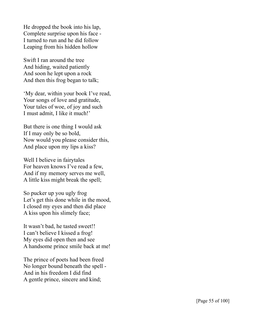He dropped the book into his lap, Complete surprise upon his face - I turned to run and he did follow Leaping from his hidden hollow

Swift I ran around the tree And hiding, waited patiently And soon he lept upon a rock And then this frog began to talk;

'My dear, within your book I've read, Your songs of love and gratitude, Your tales of woe, of joy and such I must admit, I like it much!'

But there is one thing I would ask If I may only be so bold, Now would you please consider this, And place upon my lips a kiss?

Well I believe in fairytales For heaven knows I've read a few, And if my memory serves me well, A little kiss might break the spell;

So pucker up you ugly frog Let's get this done while in the mood, I closed my eyes and then did place A kiss upon his slimely face;

It wasn't bad, he tasted sweet!! I can't believe I kissed a frog! My eyes did open then and see A handsome prince smile back at me!

The prince of poets had been freed No longer bound beneath the spell - And in his freedom I did find A gentle prince, sincere and kind;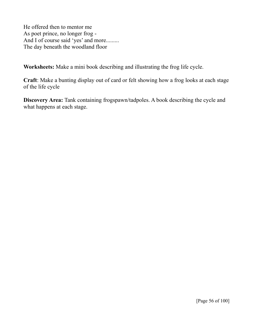He offered then to mentor me As poet prince, no longer frog - And I of course said 'yes' and more......... The day beneath the woodland floor

**Worksheets:** Make a mini book describing and illustrating the frog life cycle.

**Craft**: Make a bunting display out of card or felt showing how a frog looks at each stage of the life cycle

**Discovery Area:** Tank containing frogspawn/tadpoles. A book describing the cycle and what happens at each stage.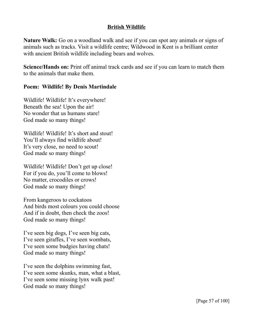# **British Wildlife**

**Nature Walk:** Go on a woodland walk and see if you can spot any animals or signs of animals such as tracks. Visit a wildlife centre; Wildwood in Kent is a brilliant center with ancient British wildlife including bears and wolves.

**Science/Hands on:** Print off animal track cards and see if you can learn to match them to the animals that make them.

## **Poem: Wildlife! By Denis Martindale**

Wildlife! Wildlife! It's everywhere! Beneath the sea! Upon the air! No wonder that us humans stare! God made so many things!

Wildlife! Wildlife! It's short and stout! You'll always find wildlife about! It's very close, no need to scout! God made so many things!

Wildlife! Wildlife! Don't get up close! For if you do, you'll come to blows! No matter, crocodiles or crows! God made so many things!

From kangeroos to cockatoos And birds most colours you could choose And if in doubt, then check the zoos! God made so many things!

I've seen big dogs, I've seen big cats, I've seen giraffes, I've seen wombats, I've seen some budgies having chats! God made so many things!

I've seen the dolphins swimming fast, I've seen some skunks, man, what a blast, I've seen some missing lynx walk past! God made so many things!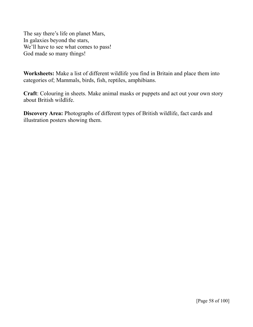The say there's life on planet Mars, In galaxies beyond the stars, We'll have to see what comes to pass! God made so many things!

**Worksheets:** Make a list of different wildlife you find in Britain and place them into categories of; Mammals, birds, fish, reptiles, amphibians.

**Craft**: Colouring in sheets. Make animal masks or puppets and act out your own story about British wildlife.

**Discovery Area:** Photographs of different types of British wildlife, fact cards and illustration posters showing them.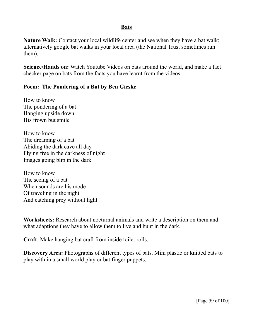## **Bats**

**Nature Walk:** Contact your local wildlife center and see when they have a bat walk; alternatively google bat walks in your local area (the National Trust sometimes run them).

**Science/Hands on:** Watch Youtube Videos on bats around the world, and make a fact checker page on bats from the facts you have learnt from the videos.

#### **Poem: The Pondering of a Bat by Ben Gieske**

How to know The pondering of a bat Hanging upside down His frown but smile

How to know The dreaming of a bat Abiding the dark cave all day Flying free in the darkness of night Images going blip in the dark

How to know The seeing of a bat When sounds are his mode Of traveling in the night And catching prey without light

**Worksheets:** Research about nocturnal animals and write a description on them and what adaptions they have to allow them to live and hunt in the dark.

**Craft**: Make hanging bat craft from inside toilet rolls.

**Discovery Area:** Photographs of different types of bats. Mini plastic or knitted bats to play with in a small world play or bat finger puppets.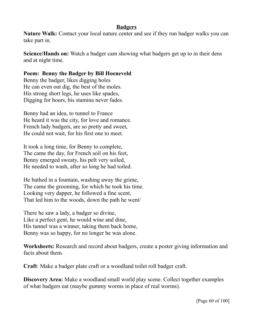## **Badgers**

**Nature Walk:** Contact your local nature center and see if they run badger walks you can take part in.

**Science/Hands on:** Watch a badger cam showing what badgers get up to in their dens and at night time.

# **Poem: Benny the Badger by Bill Hoeneveld**

Benny the badger, likes digging holes He can even out dig, the best of the moles. His strong short legs, he uses like spades, Digging for hours, his stamina never fades.

Benny had an idea, to tunnel to France He heard it was the city, for love and romance. French lady badgers, are so pretty and sweet, He could not wait, for his first one to meet.

It took a long time, for Benny to complete, The came the day, for French soil on his feet, Benny emerged sweaty, his pelt very soiled, He needed to wash, after so long he had toiled.

He bathed in a fountain, washing away the grime, The came the grooming, for which he took his time. Looking very dapper, he followed a fine scent, That led him to the woods, down the path he went/

There he saw a lady, a badger so divine, Like a perfect gent, he would wine and dine, His tunnel was a winner, taking them back home, Benny was so happy, for no longer he was alone.

**Worksheets:** Research and record about badgers, create a poster giving information and facts about them.

**Craft**: Make a badger plate craft or a woodland toilet roll badger craft.

**Discovery Area:** Make a woodland small world play scene. Collect together examples of what badgers eat (maybe gummy worms in place of real worms).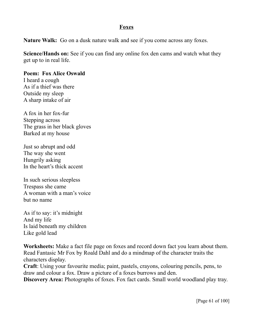## **Foxes**

**Nature Walk:** Go on a dusk nature walk and see if you come across any foxes.

**Science/Hands on:** See if you can find any online fox den cams and watch what they get up to in real life.

# **Poem: Fox Alice Oswald**

I heard a cough As if a thief was there Outside my sleep A sharp intake of air

A fox in her fox-fur Stepping across The grass in her black gloves Barked at my house

Just so abrupt and odd The way she went Hungrily asking In the heart's thick accent

In such serious sleepless Trespass she came A woman with a man's voice but no name

As if to say: it's midnight And my life Is laid beneath my children Like gold lead

**Worksheets:** Make a fact file page on foxes and record down fact you learn about them. Read Fantasic Mr Fox by Roald Dahl and do a mindmap of the character traits the characters display.

**Craft**: Using your favourite media; paint, pastels, crayons, colouring pencils, pens, to draw and colour a fox. Draw a picture of a foxes burrows and den.

**Discovery Area:** Photographs of foxes. Fox fact cards. Small world woodland play tray.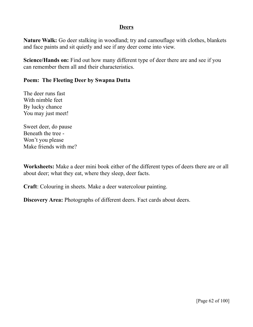## **Deers**

**Nature Walk:** Go deer stalking in woodland; try and camouflage with clothes, blankets and face paints and sit quietly and see if any deer come into view.

**Science/Hands on:** Find out how many different type of deer there are and see if you can remember them all and their characteristics.

## **Poem: The Fleeting Deer by Swapna Dutta**

The deer runs fast With nimble feet By lucky chance You may just meet!

Sweet deer, do pause Beneath the tree - Won't you please Make friends with me?

**Worksheets:** Make a deer mini book either of the different types of deers there are or all about deer; what they eat, where they sleep, deer facts.

**Craft**: Colouring in sheets. Make a deer watercolour painting.

**Discovery Area:** Photographs of different deers. Fact cards about deers.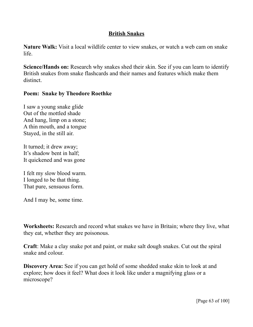# **British Snakes**

**Nature Walk:** Visit a local wildlife center to view snakes, or watch a web cam on snake life.

**Science/Hands on:** Research why snakes shed their skin. See if you can learn to identify British snakes from snake flashcards and their names and features which make them distinct.

## **Poem: Snake by Theodore Roethke**

I saw a young snake glide Out of the mottled shade And hang, limp on a stone; A thin mouth, and a tongue Stayed, in the still air.

It turned; it drew away; It's shadow bent in half; It quickened and was gone

I felt my slow blood warm. I longed to be that thing. That pure, sensuous form.

And I may be, some time.

**Worksheets:** Research and record what snakes we have in Britain; where they live, what they eat, whether they are poisonous.

**Craft**: Make a clay snake pot and paint, or make salt dough snakes. Cut out the spiral snake and colour.

**Discovery Area:** See if you can get hold of some shedded snake skin to look at and explore; how does it feel? What does it look like under a magnifying glass or a microscope?

[Page 63 of 100]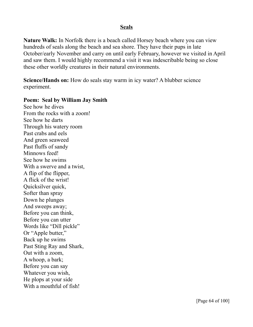#### **Seals**

**Nature Walk:** In Norfolk there is a beach called Horsey beach where you can view hundreds of seals along the beach and sea shore. They have their pups in late October/early November and carry on until early February, however we visited in April and saw them. I would highly recommend a visit it was indescribable being so close these other worldly creatures in their natural environments.

**Science/Hands on:** How do seals stay warm in icy water? A blubber science experiment.

#### **Poem: Seal by William Jay Smith**

See how he dives From the rocks with a zoom! See how he darts Through his watery room Past crabs and eels And green seaweed Past fluffs of sandy Minnows feed! See how he swims With a swerve and a twist, A flip of the flipper, A flick of the wrist! Quicksilver quick, Softer than spray Down he plunges And sweeps away; Before you can think, Before you can utter Words like "Dill pickle" Or "Apple butter," Back up he swims Past Sting Ray and Shark, Out with a zoom, A whoop, a bark; Before you can say Whatever you wish, He plops at your side With a mouthful of fish!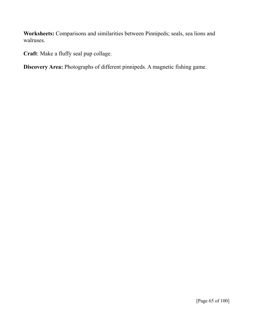**Worksheets:** Comparisons and similarities between Pinnipeds; seals, sea lions and walruses.

**Craft**: Make a fluffy seal pup collage.

**Discovery Area:** Photographs of different pinnipeds. A magnetic fishing game.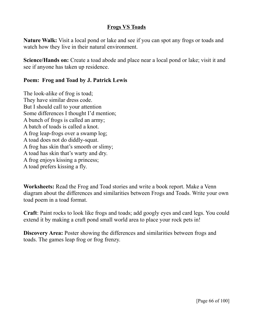# **Frogs VS Toads**

**Nature Walk:** Visit a local pond or lake and see if you can spot any frogs or toads and watch how they live in their natural environment.

**Science/Hands on:** Create a toad abode and place near a local pond or lake; visit it and see if anyone has taken up residence.

### **Poem: Frog and Toad by J. Patrick Lewis**

The look-alike of frog is toad; They have similar dress code. But I should call to your attention Some differences I thought I'd mention; A bunch of frogs is called an army; A batch of toads is called a knot. A frog leap-frogs over a swamp log; A toad does not do diddly-squat. A frog has skin that's smooth or slimy; A toad has skin that's warty and dry. A frog enjoys kissing a princess; A toad prefers kissing a fly.

**Worksheets:** Read the Frog and Toad stories and write a book report. Make a Venn diagram about the differences and similarities between Frogs and Toads. Write your own toad poem in a toad format.

**Craft**: Paint rocks to look like frogs and toads; add googly eyes and card legs. You could extend it by making a craft pond small world area to place your rock pets in!

**Discovery Area:** Poster showing the differences and similarities between frogs and toads. The games leap frog or frog frenzy.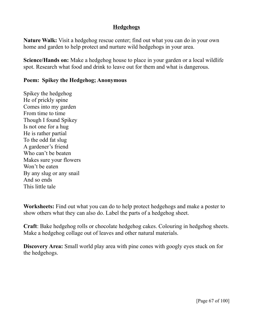# **Hedgehogs**

**Nature Walk:** Visit a hedgehog rescue center; find out what you can do in your own home and garden to help protect and nurture wild hedgehogs in your area.

**Science/Hands on:** Make a hedgehog house to place in your garden or a local wildlife spot. Research what food and drink to leave out for them and what is dangerous.

## **Poem: Spikey the Hedgehog; Anonymous**

Spikey the hedgehog He of prickly spine Comes into my garden From time to time Though I found Spikey Is not one for a hug He is rather partial To the odd fat slug A gardener's friend Who can't be beaten Makes sure your flowers Won't be eaten By any slug or any snail And so ends This little tale

**Worksheets:** Find out what you can do to help protect hedgehogs and make a poster to show others what they can also do. Label the parts of a hedgehog sheet.

**Craft**: Bake hedgehog rolls or chocolate hedgehog cakes. Colouring in hedgehog sheets. Make a hedgehog collage out of leaves and other natural materials.

**Discovery Area:** Small world play area with pine cones with googly eyes stuck on for the hedgehogs.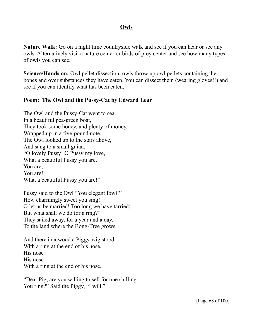## **Owls**

**Nature Walk:** Go on a night time countryside walk and see if you can hear or see any owls. Alternatively visit a nature center or birds of prey center and see how many types of owls you can see.

**Science/Hands on:** Owl pellet dissection; owls throw up owl pellets containing the bones and over substances they have eaten. You can dissect them (wearing gloves!!) and see if you can identify what has been eaten.

## **Poem: The Owl and the Pussy-Cat by Edward Lear**

The Owl and the Pussy-Cat went to sea In a beautiful pea-green boat, They took some honey, and plenty of money, Wrapped up in a five-pound note. The Owl looked up to the stars above, And sang to a small guitar, "O lovely Pussy! O Pussy my love, What a beautiful Pussy you are, You are, You are! What a beautiful Pussy you are!"

Pussy said to the Owl "You elegant fowl!" How charmingly sweet you sing! O let us be married! Too long we have tarried; But what shall we do for a ring?" They sailed away, for a year and a day, To the land where the Bong-Tree grows

And there in a wood a Piggy-wig stood With a ring at the end of his nose, His nose His nose With a ring at the end of his nose.

"Dear Pig, are you willing to sell for one shilling You ring?" Said the Piggy, "I will."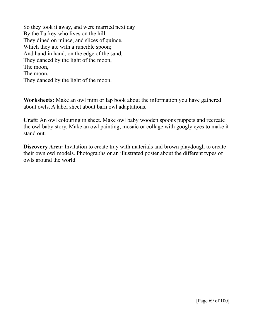So they took it away, and were married next day By the Turkey who lives on the hill. They dined on mince, and slices of quince, Which they ate with a runcible spoon; And hand in hand, on the edge of the sand, They danced by the light of the moon, The moon, The moon, They danced by the light of the moon.

**Worksheets:** Make an owl mini or lap book about the information you have gathered about owls. A label sheet about barn owl adaptations.

**Craft**: An owl colouring in sheet. Make owl baby wooden spoons puppets and recreate the owl baby story. Make an owl painting, mosaic or collage with googly eyes to make it stand out.

**Discovery Area:** Invitation to create tray with materials and brown playdough to create their own owl models. Photographs or an illustrated poster about the different types of owls around the world.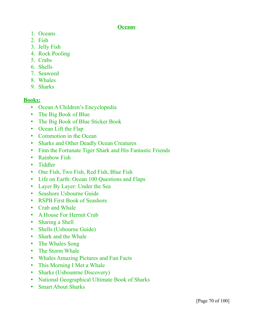## **Oceans**

- 1. Oceans
- 2. Fish
- 3. Jelly Fish
- 4. Rock Pooling
- 5. Crabs
- 6. Shells
- 7. Seaweed
- 8. Whales
- 9. Sharks

# **Books:**

- Ocean A Children's Encyclopedia
- The Big Book of Blue
- The Big Book of Blue Sticker Book
- Ocean Lift the Flap
- Commotion in the Ocean
- Sharks and Other Deadly Ocean Creatures
- Finn the Fortunate Tiger Shark and His Fantastic Friends
- Rainbow Fish
- Tiddler
- One Fish, Two Fish, Red Fish, Blue Fish
- Life on Earth: Ocean 100 Questions and Flaps
- Layer By Layer: Under the Sea
- Seashore Usbourne Guide
- RSPB First Book of Seashore
- Crab and Whale
- A House For Hermit Crab
- Sharing a Shell
- Shells (Usbourne Guide)
- Shark and the Whale
- The Whales Song
- The Storm Whale
- Whales Amazing Pictures and Fun Facts
- This Morning I Met a Whale
- Sharks (Usbounrne Discovery)
- National Geographical Ultimate Book of Sharks
- Smart About Sharks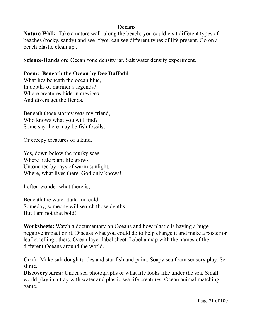# **Oceans**

**Nature Walk:** Take a nature walk along the beach; you could visit different types of beaches (rocky, sandy) and see if you can see different types of life present. Go on a beach plastic clean up..

**Science/Hands on:** Ocean zone density jar. Salt water density experiment.

# **Poem: Beneath the Ocean by Dee Daffodil**

What lies beneath the ocean blue, In depths of mariner's legends? Where creatures hide in crevices, And divers get the Bends.

Beneath those stormy seas my friend, Who knows what you will find? Some say there may be fish fossils,

Or creepy creatures of a kind.

Yes, down below the murky seas, Where little plant life grows Untouched by rays of warm sunlight, Where, what lives there, God only knows!

I often wonder what there is,

Beneath the water dark and cold. Someday, someone will search those depths, But I am not that bold!

**Worksheets:** Watch a documentary on Oceans and how plastic is having a huge negative impact on it. Discuss what you could do to help change it and make a poster or leaflet telling others. Ocean layer label sheet. Label a map with the names of the different Oceans around the world.

**Craft**: Make salt dough turtles and star fish and paint. Soapy sea foam sensory play. Sea slime.

**Discovery Area:** Under sea photographs or what life looks like under the sea. Small world play in a tray with water and plastic sea life creatures. Ocean animal matching game.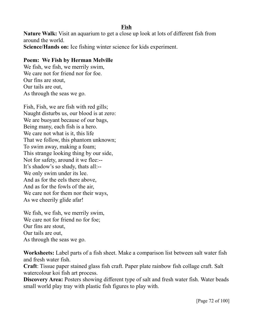**Fish**

**Nature Walk:** Visit an aquarium to get a close up look at lots of different fish from around the world. **Science/Hands on:** Ice fishing winter science for kids experiment.

#### **Poem: We Fish by Herman Melville**

We fish, we fish, we merrily swim, We care not for friend nor for foe. Our fins are stout, Our tails are out, As through the seas we go.

Fish, Fish, we are fish with red gills; Naught disturbs us, our blood is at zero: We are buoyant because of our bags, Being many, each fish is a hero. We care not what is it, this life That we follow, this phantom unknown; To swim away, making a foam; This strange looking thing by our side, Not for safety, around it we flee:-- It's shadow's so shady, thats all:-- We only swim under its lee. And as for the eels there above, And as for the fowls of the air, We care not for them nor their ways, As we cheerily glide afar!

We fish, we fish, we merrily swim, We care not for friend no for foe; Our fins are stout, Our tails are out, As through the seas we go.

**Worksheets:** Label parts of a fish sheet. Make a comparison list between salt water fish and fresh water fish.

**Craft**: Tissue paper stained glass fish craft. Paper plate rainbow fish collage craft. Salt watercolour koi fish art process.

**Discovery Area:** Posters showing different type of salt and fresh water fish. Water beads small world play tray with plastic fish figures to play with.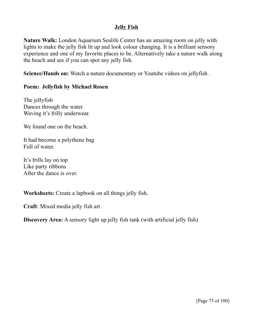#### **Jelly Fish**

**Nature Walk:** London Aquarium Sealife Center has an amazing room on jelly with lights to make the jelly fish lit up and look colour changing. It is a brilliant sensory experience and one of my favorite places to be. Alternatively take a nature walk along the beach and see if you can spot any jelly fish.

**Science/Hands on:** Watch a nature documentary or Youtube videos on jellyfish .

# **Poem: Jellyfish by Michael Rosen**

The jellyfish Dances through the water Waving it's frilly underwear.

We found one on the beach.

It had become a polythene bag Full of water.

It's frills lay on top Like party ribbons After the dance is over.

**Worksheets:** Create a lapbook on all things jelly fish.

**Craft**: Mixed media jelly fish art.

**Discovery Area:** A sensory light up jelly fish tank (with artificial jelly fish)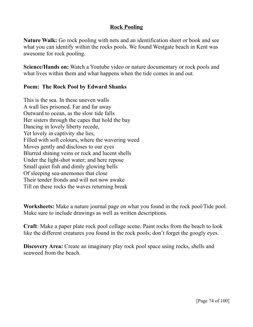# **Rock Pooling**

**Nature Walk:** Go rock pooling with nets and an identification sheet or book and see what you can identify within the rocks pools. We found Westgate beach in Kent was awesome for rock pooling.

**Science/Hands on:** Watch a Youtube video or nature documentary or rock pools and what lives within them and what happens when the tide comes in and out.

# **Poem: The Rock Pool by Edward Shanks**

This is the sea. In these uneven walls A wall lies prisoned. Far and far away Outward to ocean, as the slow tide falls Her sisters through the capes that hold the bay Dancing in lovely liberty recede, Yet lovely in captivity she lies, Filled with soft colours, where the wavering weed Moves gently and discloses to our eyes Blurred shining veins or rock and lucent shells Under the light-shot water; and here repose Small quiet fish and dimly glowing bells Of sleeping sea-anemones that close Their tender fronds and will not now awake Till on these rocks the waves returning break

**Worksheets:** Make a nature journal page on what you found in the rock pool/Tide pool. Make sure to include drawings as well as written descriptions.

**Craft**: Make a paper plate rock pool collage scene. Paint rocks from the beach to look like the different creatures you found in the rock pools; don't forget the googly eyes.

**Discovery Area:** Create an imaginary play rock pool space using rocks, shells and seaweed from the beach.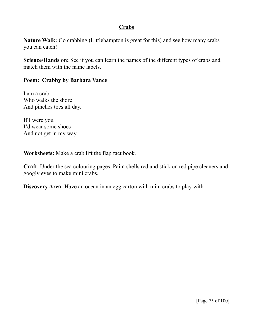# **Crabs**

**Nature Walk:** Go crabbing (Littlehampton is great for this) and see how many crabs you can catch!

**Science/Hands on:** See if you can learn the names of the different types of crabs and match them with the name labels.

#### **Poem: Crabby by Barbara Vance**

I am a crab Who walks the shore And pinches toes all day.

If I were you I'd wear some shoes And not get in my way.

**Worksheets:** Make a crab lift the flap fact book.

**Craft**: Under the sea colouring pages. Paint shells red and stick on red pipe cleaners and googly eyes to make mini crabs.

**Discovery Area:** Have an ocean in an egg carton with mini crabs to play with.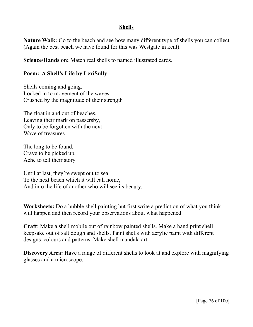#### **Shells**

**Nature Walk:** Go to the beach and see how many different type of shells you can collect (Again the best beach we have found for this was Westgate in kent).

**Science/Hands on:** Match real shells to named illustrated cards.

#### **Poem: A Shell's Life by LexiSully**

Shells coming and going, Locked in to movement of the waves, Crushed by the magnitude of their strength

The float in and out of beaches, Leaving their mark on passersby, Only to be forgotten with the next Wave of treasures

The long to be found, Crave to be picked up, Ache to tell their story

Until at last, they're swept out to sea, To the next beach which it will call home, And into the life of another who will see its beauty.

**Worksheets:** Do a bubble shell painting but first write a prediction of what you think will happen and then record your observations about what happened.

**Craft**: Make a shell mobile out of rainbow painted shells. Make a hand print shell keepsake out of salt dough and shells. Paint shells with acrylic paint with different designs, colours and patterns. Make shell mandala art.

**Discovery Area:** Have a range of different shells to look at and explore with magnifying glasses and a microscope.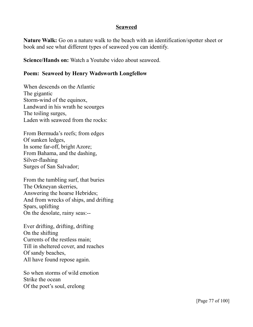#### **Seaweed**

**Nature Walk:** Go on a nature walk to the beach with an identification/spotter sheet or book and see what different types of seaweed you can identify.

**Science/Hands on:** Watch a Youtube video about seaweed.

# **Poem: Seaweed by Henry Wadsworth Longfellow**

When descends on the Atlantic The gigantic Storm-wind of the equinox, Landward in his wrath he scourges The toiling surges, Laden with seaweed from the rocks:

From Bermuda's reefs; from edges Of sunken ledges, In some far-off, bright Azore; From Bahama, and the dashing, Silver-flashing Surges of San Salvador;

From the tumbling surf, that buries The Orkneyan skerries, Answering the hoarse Hebrides; And from wrecks of ships, and drifting Spars, uplifting On the desolate, rainy seas:--

Ever drifting, drifting, drifting On the shifting Currents of the restless main; Till in sheltered cover, and reaches Of sandy beaches, All have found repose again.

So when storms of wild emotion Strike the ocean Of the poet's soul, erelong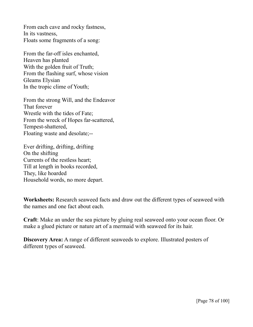From each cave and rocky fastness, In its vastness, Floats some fragments of a song:

From the far-off isles enchanted, Heaven has planted With the golden fruit of Truth; From the flashing surf, whose vision Gleams Elysian In the tropic clime of Youth;

From the strong Will, and the Endeavor That forever Wrestle with the tides of Fate; From the wreck of Hopes far-scattered, Tempest-shattered, Floating waste and desolate;--

Ever drifting, drifting, drifting On the shifting Currents of the restless heart; Till at length in books recorded, They, like hoarded Household words, no more depart.

**Worksheets:** Research seaweed facts and draw out the different types of seaweed with the names and one fact about each.

**Craft**: Make an under the sea picture by gluing real seaweed onto your ocean floor. Or make a glued picture or nature art of a mermaid with seaweed for its hair.

**Discovery Area:** A range of different seaweeds to explore. Illustrated posters of different types of seaweed.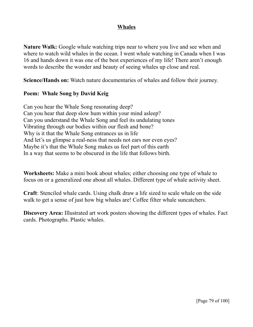### **Whales**

**Nature Walk:** Google whale watching trips near to where you live and see when and where to watch wild whales in the ocean. I went whale watching in Canada when I was 16 and hands down it was one of the best experiences of my life! There aren't enough words to describe the wonder and beauty of seeing whales up close and real.

**Science/Hands on:** Watch nature documentaries of whales and follow their journey.

# **Poem: Whale Song by David Keig**

Can you hear the Whale Song resonating deep? Can you hear that deep slow hum within your mind asleep? Can you understand the Whale Song and feel its undulating tones Vibrating through our bodies within our flesh and bone? Why is it that the Whale Song entrances us in life And let's us glimpse a real-ness that needs not ears nor even eyes? Maybe it's that the Whale Song makes us feel part of this earth In a way that seems to be obscured in the life that follows birth.

**Worksheets:** Make a mini book about whales; either choosing one type of whale to focus on or a generalized one about all whales. Different type of whale activity sheet.

**Craft**: Stenciled whale cards. Using chalk draw a life sized to scale whale on the side walk to get a sense of just how big whales are! Coffee filter whale suncatchers.

**Discovery Area:** Illustrated art work posters showing the different types of whales. Fact cards. Photographs. Plastic whales.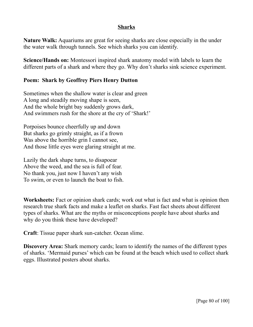#### **Sharks**

**Nature Walk:** Aquariums are great for seeing sharks are close especially in the under the water walk through tunnels. See which sharks you can identify.

**Science/Hands on:** Montessori inspired shark anatomy model with labels to learn the different parts of a shark and where they go. Why don't sharks sink science experiment.

### **Poem: Shark by Geoffrey Piers Henry Dutton**

Sometimes when the shallow water is clear and green A long and steadily moving shape is seen, And the whole bright bay suddenly grows dark, And swimmers rush for the shore at the cry of 'Shark!'

Porpoises bounce cheerfully up and down But sharks go grimly straight, as if a frown Was above the horrible grin I cannot see, And those little eyes were glaring straight at me.

Lazily the dark shape turns, to disapoear Above the weed, and the sea is full of fear. No thank you, just now I haven't any wish To swim, or even to launch the boat to fish.

**Worksheets:** Fact or opinion shark cards; work out what is fact and what is opinion then research true shark facts and make a leaflet on sharks. Fast fact sheets about different types of sharks. What are the myths or misconceptions people have about sharks and why do you think these have developed?

**Craft**: Tissue paper shark sun-catcher. Ocean slime.

**Discovery Area:** Shark memory cards; learn to identify the names of the different types of sharks. 'Mermaid purses' which can be found at the beach which used to collect shark eggs. Illustrated posters about sharks.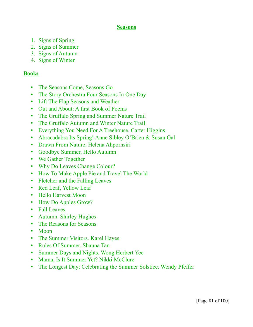#### **Seasons**

- 1. Signs of Spring
- 2. Signs of Summer
- 3. Signs of Autumn
- 4. Signs of Winter

# **Books**

- The Seasons Come, Seasons Go
- The Story Orchestra Four Seasons In One Day
- Lift The Flap Seasons and Weather
- Out and About: A first Book of Poems
- The Gruffalo Spring and Summer Nature Trail
- The Gruffalo Autumn and Winter Nature Trail
- Everything You Need For A Treehouse. Carter Higgins
- Abracadabra Its Spring! Anne Sibley O'Brien & Susan Gal
- Drawn From Nature. Helena Ahpornsiri
- Goodbye Summer, Hello Autumn
- We Gather Together
- Why Do Leaves Change Colour?
- How To Make Apple Pie and Travel The World
- Fletcher and the Falling Leaves
- Red Leaf, Yellow Leaf
- Hello Harvest Moon
- How Do Apples Grow?
- Fall Leaves
- Autumn. Shirley Hughes
- The Reasons for Seasons
- Moon
- The Summer Visitors. Karel Hayes
- Rules Of Summer. Shauna Tan
- Summer Days and Nights. Wong Herbert Yee
- Mama, Is It Summer Yet? Nikki McClure
- The Longest Day: Celebrating the Summer Solstice. Wendy Pfeffer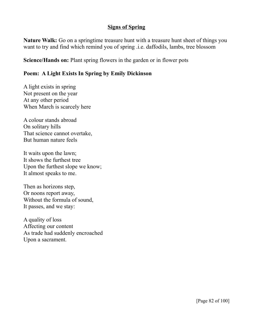# **Signs of Spring**

**Nature Walk:** Go on a springtime treasure hunt with a treasure hunt sheet of things you want to try and find which remind you of spring .i.e. daffodils, lambs, tree blossom

**Science/Hands on:** Plant spring flowers in the garden or in flower pots

# **Poem: A Light Exists In Spring by Emily Dickinson**

A light exists in spring Not present on the year At any other period When March is scarcely here

A colour stands abroad On solitary hills That science cannot overtake, But human nature feels

It waits upon the lawn; It shows the furthest tree Upon the furthest slope we know; It almost speaks to me.

Then as horizons step, Or noons report away, Without the formula of sound, It passes, and we stay:

A quality of loss Affecting our content As trade had suddenly encroached Upon a sacrament.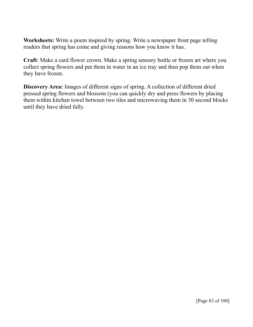**Worksheets:** Write a poem inspired by spring. Write a newspaper front page telling readers that spring has come and giving reasons how you know it has.

**Craft**: Make a card flower crown. Make a spring sensory bottle or frozen art where you collect spring flowers and put them in water in an ice tray and then pop them out when they have frozen.

**Discovery Area:** Images of different signs of spring. A collection of different dried pressed spring flowers and blossom (you can quickly dry and press flowers by placing them within kitchen towel between two tiles and microwaving them in 30 second blocks until they have dried fully.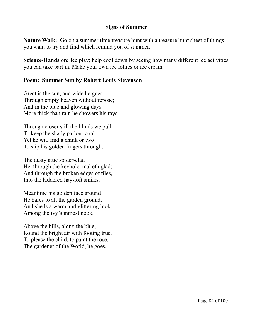#### **Signs of Summer**

**Nature Walk:** Go on a summer time treasure hunt with a treasure hunt sheet of things you want to try and find which remind you of summer.

**Science/Hands on:** Ice play; help cool down by seeing how many different ice activities you can take part in. Make your own ice lollies or ice cream.

#### **Poem: Summer Sun by Robert Louis Stevenson**

Great is the sun, and wide he goes Through empty heaven without repose; And in the blue and glowing days More thick than rain he showers his rays.

Through closer still the blinds we pull To keep the shady parlour cool, Yet he will find a chink or two To slip his golden fingers through.

The dusty attic spider-clad He, through the keyhole, maketh glad; And through the broken edges of tiles, Into the laddered hay-loft smiles.

Meantime his golden face around He bares to all the garden ground, And sheds a warm and glittering look Among the ivy's inmost nook.

Above the hills, along the blue, Round the bright air with footing true, To please the child, to paint the rose, The gardener of the World, he goes.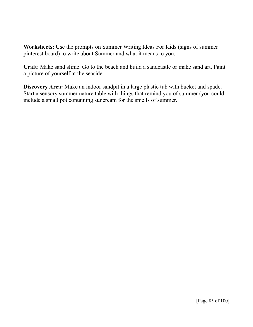**Worksheets:** Use the prompts on Summer Writing Ideas For Kids (signs of summer pinterest board) to write about Summer and what it means to you.

**Craft**: Make sand slime. Go to the beach and build a sandcastle or make sand art. Paint a picture of yourself at the seaside.

**Discovery Area:** Make an indoor sandpit in a large plastic tub with bucket and spade. Start a sensory summer nature table with things that remind you of summer (you could include a small pot containing suncream for the smells of summer.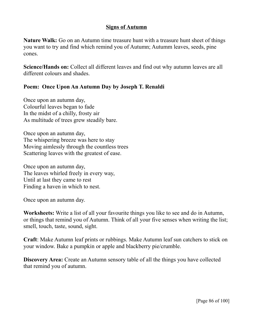#### **Signs of Autumn**

**Nature Walk:** Go on an Autumn time treasure hunt with a treasure hunt sheet of things you want to try and find which remind you of Autumn; Autumm leaves, seeds, pine cones.

**Science/Hands on:** Collect all different leaves and find out why autumn leaves are all different colours and shades.

# **Poem: Once Upon An Autumn Day by Joseph T. Renaldi**

Once upon an autumn day, Colourful leaves began to fade In the midst of a chilly, frosty air As multitude of trees grew steadily bare.

Once upon an autumn day, The whispering breeze was here to stay Moving aimlessly through the countless trees Scattering leaves with the greatest of ease.

Once upon an autumn day, The leaves whirled freely in every way, Until at last they came to rest Finding a haven in which to nest.

Once upon an autumn day.

**Worksheets:** Write a list of all your favourite things you like to see and do in Autumn, or things that remind you of Autumn. Think of all your five senses when writing the list; smell, touch, taste, sound, sight.

**Craft**: Make Autumn leaf prints or rubbings. Make Autumn leaf sun catchers to stick on your window. Bake a pumpkin or apple and blackberry pie/crumble.

**Discovery Area:** Create an Autumn sensory table of all the things you have collected that remind you of autumn.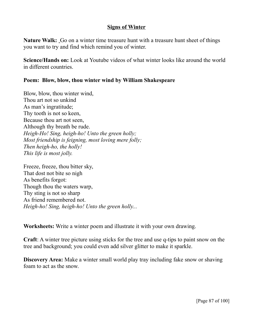#### **Signs of Winter**

**Nature Walk:** Go on a winter time treasure hunt with a treasure hunt sheet of things you want to try and find which remind you of winter.

**Science/Hands on:** Look at Youtube videos of what winter looks like around the world in different countries.

### **Poem: Blow, blow, thou winter wind by William Shakespeare**

Blow, blow, thou winter wind, Thou art not so unkind As man's ingratitude; Thy tooth is not so keen, Because thou art not seen, Although thy breath be rude. *Heigh-Ho! Sing, heigh-ho! Unto the green holly; Most friendship is feigning, most loving mere folly; Then heigh-ho, the holly! This life is most jolly.*

Freeze, freeze, thou bitter sky, That dost not bite so nigh As benefits forgot: Though thou the waters warp, Thy sting is not so sharp As friend remembered not. *Heigh-ho! Sing, heigh-ho! Unto the green holly...*

**Worksheets:** Write a winter poem and illustrate it with your own drawing.

**Craft**: A winter tree picture using sticks for the tree and use q-tips to paint snow on the tree and background; you could even add silver glitter to make it sparkle.

**Discovery Area:** Make a winter small world play tray including fake snow or shaving foam to act as the snow.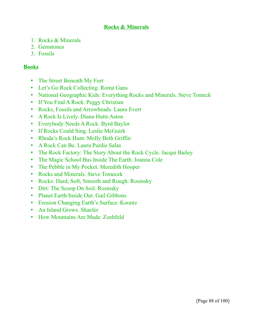# **Rocks & Minerals**

- 1. Rocks & Minerals
- 2. Gemstones
- 3. Fossils

# **Books**

- The Street Beneath My Feet
- Let's Go Rock Collecting. Roma Gans
- National Geographic Kids: Everything Rocks and Minerals. Steve Tomeck
- If You Find A Rock. Peggy Christian
- Rocks, Fossils and Arrowheads. Laura Evert
- A Rock Is Lively. Diana Hutts Aston
- Everybody Needs A Rock. Byrd Baylor
- If Rocks Could Sing. Leslie McGuirk
- Rhoda's Rock Hunt. Molly Beth Griffin
- A Rock Can Be. Laura Purdie Salas
- The Rock Factory: The Story About the Rock Cycle. Jacqui Bailey
- The Magic School Bus Inside The Earth. Joanna Cole
- The Pebble in My Pocket. Meredith Hooper
- Rocks and Minerals. Steve Tomecek
- Rocks: Hard, Soft, Smooth and Rough. Rosinsky
- Dirt: The Scoop On Soil. Rosinsky
- Planet Earth/Inside Out. Gail Gibbons
- Erosion Changing Earth's Surface. Koontz
- An Island Grows. Shaefer
- How Mountains Are Made. Zoehfeld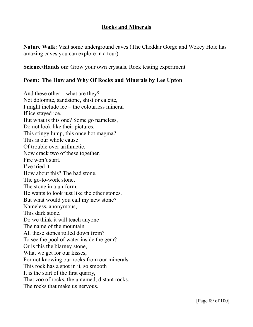#### **Rocks and Minerals**

**Nature Walk:** Visit some underground caves (The Cheddar Gorge and Wokey Hole has amazing caves you can explore in a tour).

**Science/Hands on:** Grow your own crystals. Rock testing experiment

# **Poem: The How and Why Of Rocks and Minerals by Lee Upton**

And these other – what are they? Not dolomite, sandstone, shist or calcite, I might include ice – the colourless mineral If ice stayed ice. But what is this one? Some go nameless, Do not look like their pictures. This stingy lump, this once hot magma? This is our whole cause Of trouble over arithmetic. Now crack two of these together. Fire won't start. I've tried it. How about this? The bad stone, The go-to-work stone, The stone in a uniform. He wants to look just like the other stones. But what would you call my new stone? Nameless, anonymous, This dark stone. Do we think it will teach anyone The name of the mountain All these stones rolled down from? To see the pool of water inside the gem? Or is this the blarney stone, What we get for our kisses, For not knowing our rocks from our minerals. This rock has a spot in it, so smooth It is the start of the first quarry, That zoo of rocks, the untamed, distant rocks. The rocks that make us nervous.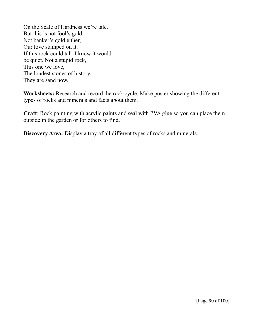On the Scale of Hardness we're talc. But this is not fool's gold, Not banker's gold either, Our love stamped on it. If this rock could talk I know it would be quiet. Not a stupid rock, This one we love, The loudest stones of history, They are sand now.

**Worksheets:** Research and record the rock cycle. Make poster showing the different types of rocks and minerals and facts about them.

**Craft**: Rock painting with acrylic paints and seal with PVA glue so you can place them outside in the garden or for others to find.

**Discovery Area:** Display a tray of all different types of rocks and minerals.

[Page 90 of 100]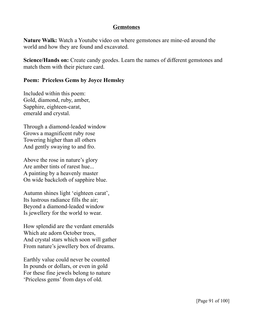#### **Gemstones**

**Nature Walk:** Watch a Youtube video on where gemstones are mine-ed around the world and how they are found and excavated.

**Science/Hands on:** Create candy geodes. Learn the names of different gemstones and match them with their picture card.

#### **Poem: Priceless Gems by Joyce Hemsley**

Included within this poem: Gold, diamond, ruby, amber, Sapphire, eighteen-carat, emerald and crystal.

Through a diamond-leaded window Grows a magnificent ruby rose Towering higher than all others And gently swaying to and fro.

Above the rose in nature's glory Are amber tints of rarest hue... A painting by a heavenly master On wide backcloth of sapphire blue.

Autumn shines light 'eighteen carat', Its lustrous radiance fills the air; Beyond a diamond-leaded window Is jewellery for the world to wear.

How splendid are the verdant emeralds Which ate adorn October trees, And crystal stars which soon will gather From nature's jewellery box of dreams.

Earthly value could never be counted In pounds or dollars, or even in gold For these fine jewels belong to nature 'Priceless gems' from days of old.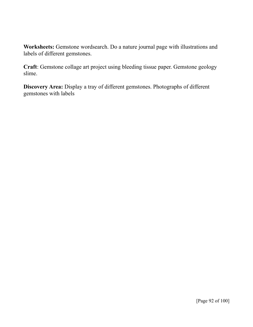**Worksheets:** Gemstone wordsearch. Do a nature journal page with illustrations and labels of different gemstones.

**Craft**: Gemstone collage art project using bleeding tissue paper. Gemstone geology slime.

**Discovery Area:** Display a tray of different gemstones. Photographs of different gemstones with labels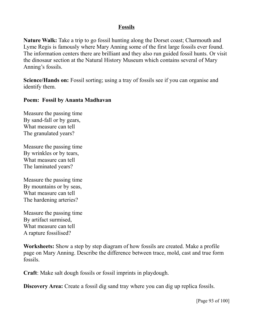# **Fossils**

**Nature Walk:** Take a trip to go fossil hunting along the Dorset coast; Charmouth and Lyme Regis is famously where Mary Anning some of the first large fossils ever found. The information centers there are brilliant and they also run guided fossil hunts. Or visit the dinosaur section at the Natural History Museum which contains several of Mary Anning's fossils.

**Science/Hands on:** Fossil sorting; using a tray of fossils see if you can organise and identify them.

#### **Poem: Fossil by Ananta Madhavan**

Measure the passing time By sand-fall or by gears, What measure can tell The granulated years?

Measure the passing time By wrinkles or by tears, What measure can tell The laminated years?

Measure the passing time By mountains or by seas, What measure can tell The hardening arteries?

Measure the passing time By artifact surmised, What measure can tell A rapture fossilised?

**Worksheets:** Show a step by step diagram of how fossils are created. Make a profile page on Mary Anning. Describe the difference between trace, mold, cast and true form fossils.

**Craft**: Make salt dough fossils or fossil imprints in playdough.

**Discovery Area:** Create a fossil dig sand tray where you can dig up replica fossils.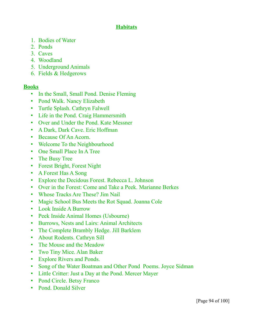# **Habitats**

- 1. Bodies of Water
- 2. Ponds
- 3. Caves
- 4. Woodland
- 5. Underground Animals
- 6. Fields & Hedgerows

# **Books**

- In the Small, Small Pond. Denise Fleming
- Pond Walk. Nancy Elizabeth
- Turtle Splash. Cathryn Falwell
- Life in the Pond. Craig Hammersmith
- Over and Under the Pond. Kate Messner
- A Dark, Dark Cave. Eric Hoffman
- Because Of An Acorn.
- Welcome To the Neighbourhood
- One Small Place In A Tree
- The Busy Tree
- Forest Bright, Forest Night
- A Forest Has A Song
- Explore the Decidous Forest. Rebecca L. Johnson
- Over in the Forest: Come and Take a Peek. Marianne Berkes
- Whose Tracks Are These? Jim Nail
- Magic School Bus Meets the Rot Squad. Joanna Cole
- Look Inside A Burrow
- Peek Inside Animal Homes (Usbourne)
- Burrows, Nests and Lairs: Animal Architects
- The Complete Brambly Hedge. Jill Barklem
- About Rodents. Cathryn Sill
- The Mouse and the Meadow
- Two Tiny Mice. Alan Baker
- Explore Rivers and Ponds.
- Song of the Water Boatman and Other Pond Poems. Joyce Sidman
- Little Critter: Just a Day at the Pond. Mercer Mayer
- Pond Circle. Betsy Franco
- Pond. Donald Silver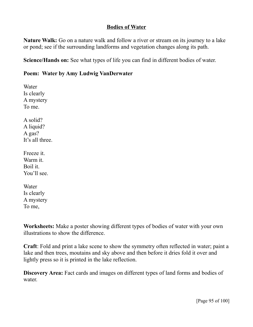### **Bodies of Water**

**Nature Walk:** Go on a nature walk and follow a river or stream on its journey to a lake or pond; see if the surrounding landforms and vegetation changes along its path.

**Science/Hands on:** See what types of life you can find in different bodies of water.

# **Poem: Water by Amy Ludwig VanDerwater**

Water Is clearly A mystery To me. A solid? A liquid? A gas? It's all three. Freeze it. Warm it. Boil it. You'll see. Water

Is clearly A mystery To me,

**Worksheets:** Make a poster showing different types of bodies of water with your own illustrations to show the difference.

**Craft**: Fold and print a lake scene to show the symmetry often reflected in water; paint a lake and then trees, moutains and sky above and then before it dries fold it over and lightly press so it is printed in the lake reflection.

**Discovery Area:** Fact cards and images on different types of land forms and bodies of water.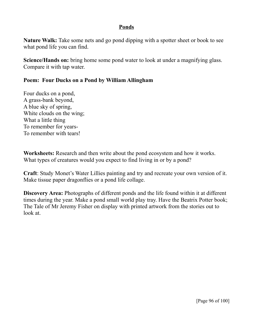#### **Ponds**

**Nature Walk:** Take some nets and go pond dipping with a spotter sheet or book to see what pond life you can find.

**Science/Hands on:** bring home some pond water to look at under a magnifying glass. Compare it with tap water.

#### **Poem: Four Ducks on a Pond by William Allingham**

Four ducks on a pond, A grass-bank beyond, A blue sky of spring, White clouds on the wing; What a little thing To remember for years-To remember with tears!

**Worksheets:** Research and then write about the pond ecosystem and how it works. What types of creatures would you expect to find living in or by a pond?

**Craft**: Study Monet's Water Lillies painting and try and recreate your own version of it. Make tissue paper dragonflies or a pond life collage.

**Discovery Area:** Photographs of different ponds and the life found within it at different times during the year. Make a pond small world play tray. Have the Beatrix Potter book; The Tale of Mr Jeremy Fisher on display with printed artwork from the stories out to look at.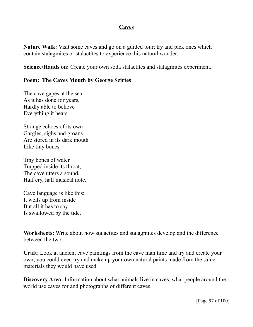#### **Caves**

**Nature Walk:** Visit some caves and go on a guided tour; try and pick ones which contain stalagmites or stalactites to experience this natural wonder.

**Science/Hands on:** Create your own soda stalactites and stalagmites experiment.

# **Poem: The Caves Mouth by George Szirtes**

The cave gapes at the sea As it has done for years, Hardly able to believe Everything it hears.

Strange echoes of its own Gargles, sighs and groans Are stored in its dark mouth Like tiny bones.

Tiny bones of water Trapped inside its throat, The cave utters a sound, Half cry, half musical note.

Cave language is like this: It wells up from inside But all it has to say Is swallowed by the tide.

**Worksheets:** Write about how stalactites and stalagmites develop and the difference between the two.

**Craft**: Look at ancient cave paintings from the cave man time and try and create your own; you could even try and make up your own natural paints made from the same materials they would have used.

**Discovery Area:** Information about what animals live in caves, what people around the world use caves for and photographs of different caves.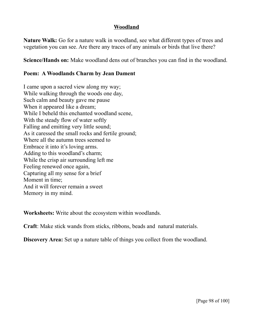#### **Woodland**

**Nature Walk:** Go for a nature walk in woodland, see what different types of trees and vegetation you can see. Are there any traces of any animals or birds that live there?

**Science/Hands on:** Make woodland dens out of branches you can find in the woodland.

# **Poem: A Woodlands Charm by Jean Dament**

I came upon a sacred view along my way; While walking through the woods one day, Such calm and beauty gave me pause When it appeared like a dream; While I beheld this enchanted woodland scene, With the steady flow of water softly Falling and emitting very little sound; As it caressed the small rocks and fertile ground; Where all the autumn trees seemed to Embrace it into it's loving arms. Adding to this woodland's charm; While the crisp air surrounding left me Feeling renewed once again, Capturing all my sense for a brief Moment in time; And it will forever remain a sweet Memory in my mind.

**Worksheets:** Write about the ecosystem within woodlands.

**Craft**: Make stick wands from sticks, ribbons, beads and natural materials.

**Discovery Area:** Set up a nature table of things you collect from the woodland.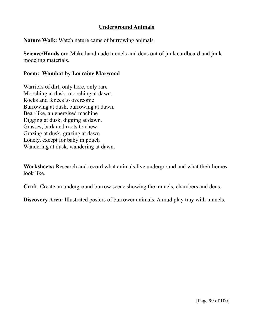# **Underground Animals**

**Nature Walk:** Watch nature cams of burrowing animals.

**Science/Hands on:** Make handmade tunnels and dens out of junk cardboard and junk modeling materials.

#### **Poem: Wombat by Lorraine Marwood**

Warriors of dirt, only here, only rare Mooching at dusk, mooching at dawn. Rocks and fences to overcome Burrowing at dusk, burrowing at dawn. Bear-like, an energised machine Digging at dusk, digging at dawn. Grasses, bark and roots to chew Grazing at dusk, grazing at dawn Lonely, except for baby in pouch Wandering at dusk, wandering at dawn.

**Worksheets:** Research and record what animals live underground and what their homes look like.

**Craft**: Create an underground burrow scene showing the tunnels, chambers and dens.

**Discovery Area:** Illustrated posters of burrower animals. A mud play tray with tunnels.